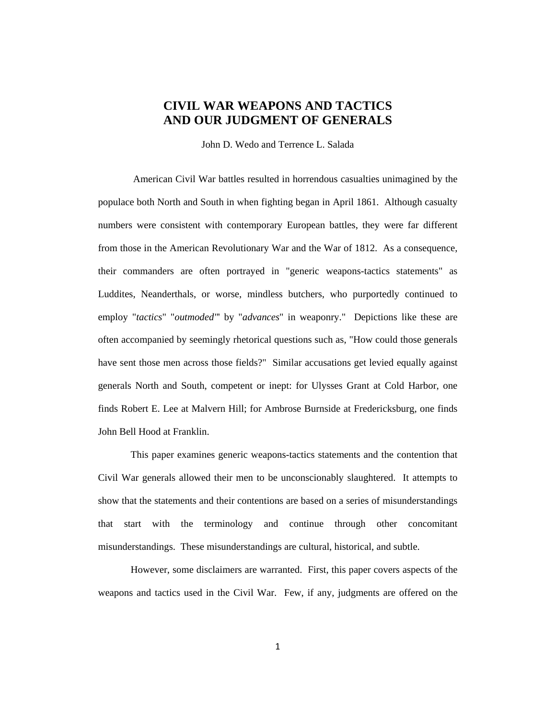# **CIVIL WAR WEAPONS AND TACTICS AND OUR JUDGMENT OF GENERALS**

John D. Wedo and Terrence L. Salada

American Civil War battles resulted in horrendous casualties unimagined by the populace both North and South in when fighting began in April 1861. Although casualty numbers were consistent with contemporary European battles, they were far different from those in the American Revolutionary War and the War of 1812. As a consequence, their commanders are often portrayed in "generic weapons-tactics statements" as Luddites, Neanderthals, or worse, mindless butchers, who purportedly continued to employ "*tactics*" "*outmoded"*' by "*advances*" in weaponry." Depictions like these are often accompanied by seemingly rhetorical questions such as, "How could those generals have sent those men across those fields?" Similar accusations get levied equally against generals North and South, competent or inept: for Ulysses Grant at Cold Harbor, one finds Robert E. Lee at Malvern Hill; for Ambrose Burnside at Fredericksburg, one finds John Bell Hood at Franklin.

This paper examines generic weapons-tactics statements and the contention that Civil War generals allowed their men to be unconscionably slaughtered. It attempts to show that the statements and their contentions are based on a series of misunderstandings that start with the terminology and continue through other concomitant misunderstandings. These misunderstandings are cultural, historical, and subtle.

However, some disclaimers are warranted. First, this paper covers aspects of the weapons and tactics used in the Civil War. Few, if any, judgments are offered on the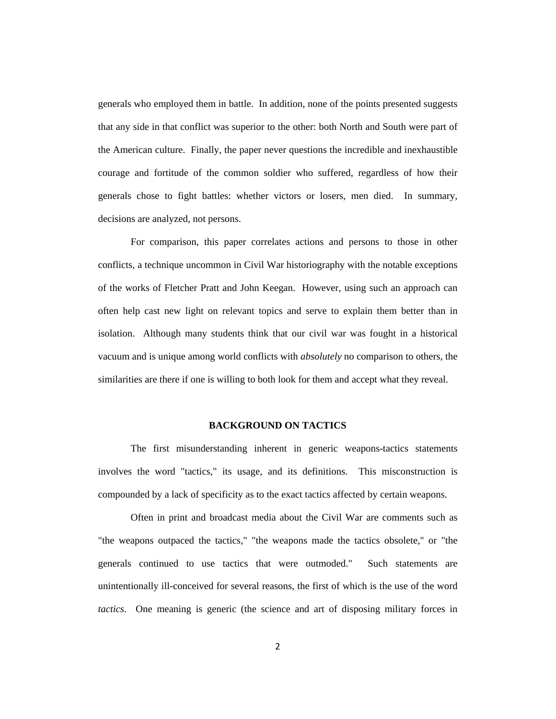generals who employed them in battle. In addition, none of the points presented suggests that any side in that conflict was superior to the other: both North and South were part of the American culture. Finally, the paper never questions the incredible and inexhaustible courage and fortitude of the common soldier who suffered, regardless of how their generals chose to fight battles: whether victors or losers, men died. In summary, decisions are analyzed, not persons.

For comparison, this paper correlates actions and persons to those in other conflicts, a technique uncommon in Civil War historiography with the notable exceptions of the works of Fletcher Pratt and John Keegan. However, using such an approach can often help cast new light on relevant topics and serve to explain them better than in isolation. Although many students think that our civil war was fought in a historical vacuum and is unique among world conflicts with *absolutely* no comparison to others, the similarities are there if one is willing to both look for them and accept what they reveal.

## **BACKGROUND ON TACTICS**

The first misunderstanding inherent in generic weapons-tactics statements involves the word "tactics," its usage, and its definitions. This misconstruction is compounded by a lack of specificity as to the exact tactics affected by certain weapons.

Often in print and broadcast media about the Civil War are comments such as "the weapons outpaced the tactics," "the weapons made the tactics obsolete," or "the generals continued to use tactics that were outmoded." Such statements are unintentionally ill-conceived for several reasons, the first of which is the use of the word *tactics*. One meaning is generic (the science and art of disposing military forces in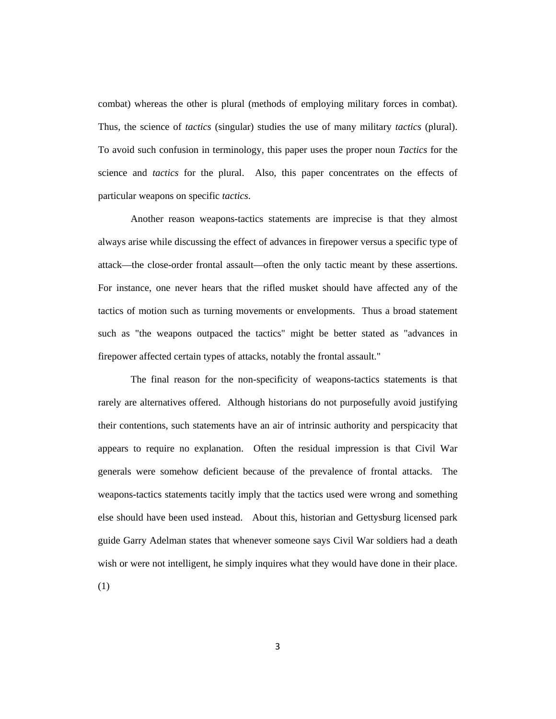combat) whereas the other is plural (methods of employing military forces in combat). Thus, the science of *tactics* (singular) studies the use of many military *tactics* (plural). To avoid such confusion in terminology, this paper uses the proper noun *Tactics* for the science and *tactics* for the plural. Also, this paper concentrates on the effects of particular weapons on specific *tactics*.

Another reason weapons-tactics statements are imprecise is that they almost always arise while discussing the effect of advances in firepower versus a specific type of attack—the close-order frontal assault—often the only tactic meant by these assertions. For instance, one never hears that the rifled musket should have affected any of the tactics of motion such as turning movements or envelopments. Thus a broad statement such as "the weapons outpaced the tactics" might be better stated as "advances in firepower affected certain types of attacks, notably the frontal assault."

The final reason for the non-specificity of weapons-tactics statements is that rarely are alternatives offered. Although historians do not purposefully avoid justifying their contentions, such statements have an air of intrinsic authority and perspicacity that appears to require no explanation. Often the residual impression is that Civil War generals were somehow deficient because of the prevalence of frontal attacks. The weapons-tactics statements tacitly imply that the tactics used were wrong and something else should have been used instead. About this, historian and Gettysburg licensed park guide Garry Adelman states that whenever someone says Civil War soldiers had a death wish or were not intelligent, he simply inquires what they would have done in their place.

(1)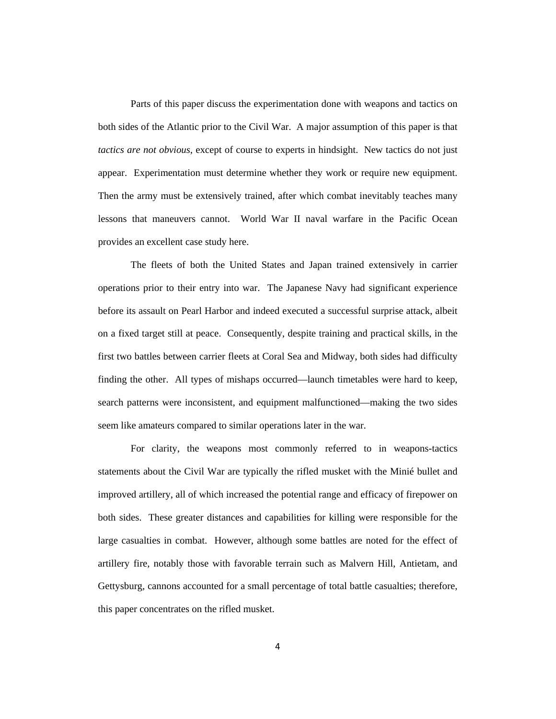Parts of this paper discuss the experimentation done with weapons and tactics on both sides of the Atlantic prior to the Civil War. A major assumption of this paper is that *tactics are not obvious*, except of course to experts in hindsight. New tactics do not just appear. Experimentation must determine whether they work or require new equipment. Then the army must be extensively trained, after which combat inevitably teaches many lessons that maneuvers cannot. World War II naval warfare in the Pacific Ocean provides an excellent case study here.

The fleets of both the United States and Japan trained extensively in carrier operations prior to their entry into war. The Japanese Navy had significant experience before its assault on Pearl Harbor and indeed executed a successful surprise attack, albeit on a fixed target still at peace. Consequently, despite training and practical skills, in the first two battles between carrier fleets at Coral Sea and Midway, both sides had difficulty finding the other. All types of mishaps occurred—launch timetables were hard to keep, search patterns were inconsistent, and equipment malfunctioned—making the two sides seem like amateurs compared to similar operations later in the war.

For clarity, the weapons most commonly referred to in weapons-tactics statements about the Civil War are typically the rifled musket with the Minié bullet and improved artillery, all of which increased the potential range and efficacy of firepower on both sides. These greater distances and capabilities for killing were responsible for the large casualties in combat. However, although some battles are noted for the effect of artillery fire, notably those with favorable terrain such as Malvern Hill, Antietam, and Gettysburg, cannons accounted for a small percentage of total battle casualties; therefore, this paper concentrates on the rifled musket.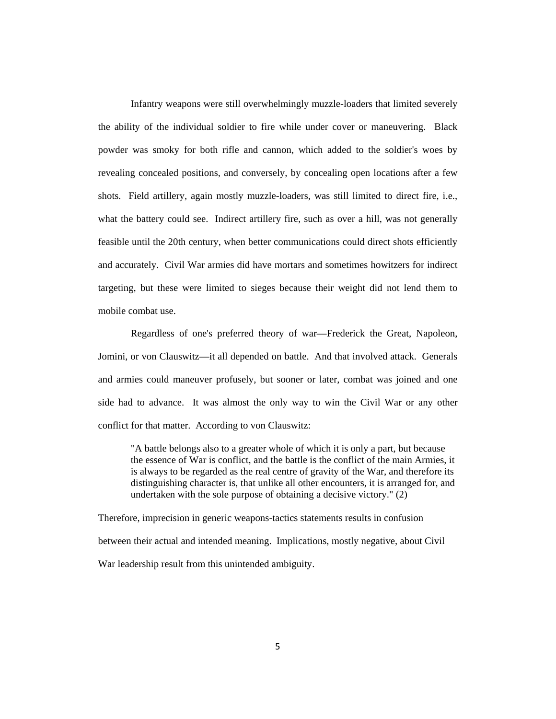Infantry weapons were still overwhelmingly muzzle-loaders that limited severely the ability of the individual soldier to fire while under cover or maneuvering. Black powder was smoky for both rifle and cannon, which added to the soldier's woes by revealing concealed positions, and conversely, by concealing open locations after a few shots. Field artillery, again mostly muzzle-loaders, was still limited to direct fire, i.e., what the battery could see. Indirect artillery fire, such as over a hill, was not generally feasible until the 20th century, when better communications could direct shots efficiently and accurately. Civil War armies did have mortars and sometimes howitzers for indirect targeting, but these were limited to sieges because their weight did not lend them to mobile combat use.

Regardless of one's preferred theory of war—Frederick the Great, Napoleon, Jomini, or von Clauswitz—it all depended on battle. And that involved attack. Generals and armies could maneuver profusely, but sooner or later, combat was joined and one side had to advance. It was almost the only way to win the Civil War or any other conflict for that matter. According to von Clauswitz:

"A battle belongs also to a greater whole of which it is only a part, but because the essence of War is conflict, and the battle is the conflict of the main Armies, it is always to be regarded as the real centre of gravity of the War, and therefore its distinguishing character is, that unlike all other encounters, it is arranged for, and undertaken with the sole purpose of obtaining a decisive victory." (2)

Therefore, imprecision in generic weapons-tactics statements results in confusion between their actual and intended meaning. Implications, mostly negative, about Civil War leadership result from this unintended ambiguity.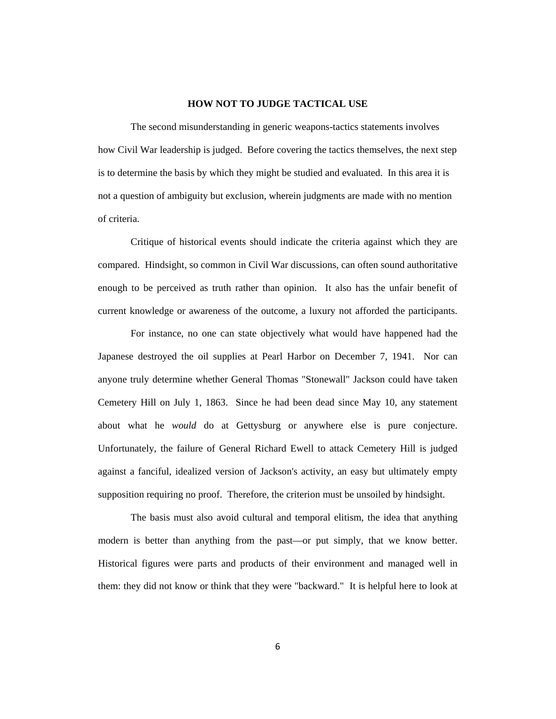## **HOW NOT TO JUDGE TACTICAL USE**

The second misunderstanding in generic weapons-tactics statements involves how Civil War leadership is judged. Before covering the tactics themselves, the next step is to determine the basis by which they might be studied and evaluated. In this area it is not a question of ambiguity but exclusion, wherein judgments are made with no mention of criteria.

Critique of historical events should indicate the criteria against which they are compared. Hindsight, so common in Civil War discussions, can often sound authoritative enough to be perceived as truth rather than opinion. It also has the unfair benefit of current knowledge or awareness of the outcome, a luxury not afforded the participants.

For instance, no one can state objectively what would have happened had the Japanese destroyed the oil supplies at Pearl Harbor on December 7, 1941. Nor can anyone truly determine whether General Thomas "Stonewall" Jackson could have taken Cemetery Hill on July 1, 1863. Since he had been dead since May 10, any statement about what he *would* do at Gettysburg or anywhere else is pure conjecture. Unfortunately, the failure of General Richard Ewell to attack Cemetery Hill is judged against a fanciful, idealized version of Jackson's activity, an easy but ultimately empty supposition requiring no proof. Therefore, the criterion must be unsoiled by hindsight.

The basis must also avoid cultural and temporal elitism, the idea that anything modern is better than anything from the past—or put simply, that we know better. Historical figures were parts and products of their environment and managed well in them: they did not know or think that they were "backward." It is helpful here to look at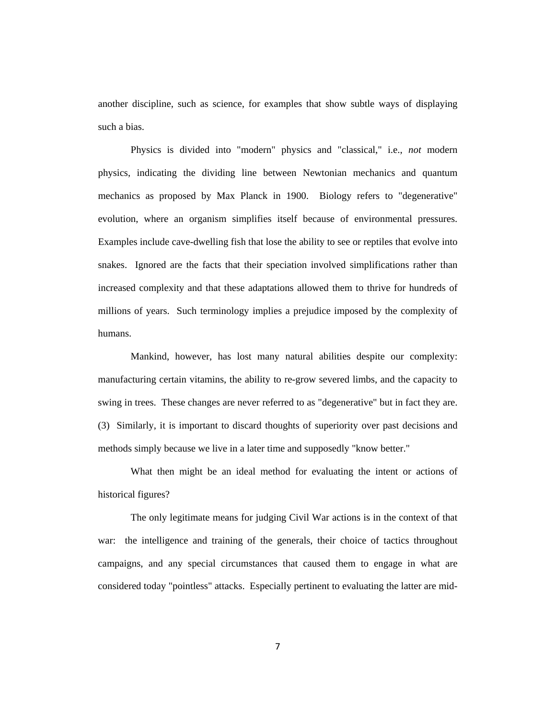another discipline, such as science, for examples that show subtle ways of displaying such a bias.

Physics is divided into "modern" physics and "classical," i.e., *not* modern physics, indicating the dividing line between Newtonian mechanics and quantum mechanics as proposed by Max Planck in 1900. Biology refers to "degenerative" evolution, where an organism simplifies itself because of environmental pressures. Examples include cave-dwelling fish that lose the ability to see or reptiles that evolve into snakes. Ignored are the facts that their speciation involved simplifications rather than increased complexity and that these adaptations allowed them to thrive for hundreds of millions of years. Such terminology implies a prejudice imposed by the complexity of humans.

Mankind, however, has lost many natural abilities despite our complexity: manufacturing certain vitamins, the ability to re-grow severed limbs, and the capacity to swing in trees. These changes are never referred to as "degenerative" but in fact they are. (3) Similarly, it is important to discard thoughts of superiority over past decisions and methods simply because we live in a later time and supposedly "know better."

What then might be an ideal method for evaluating the intent or actions of historical figures?

The only legitimate means for judging Civil War actions is in the context of that war: the intelligence and training of the generals, their choice of tactics throughout campaigns, and any special circumstances that caused them to engage in what are considered today "pointless" attacks. Especially pertinent to evaluating the latter are mid-

7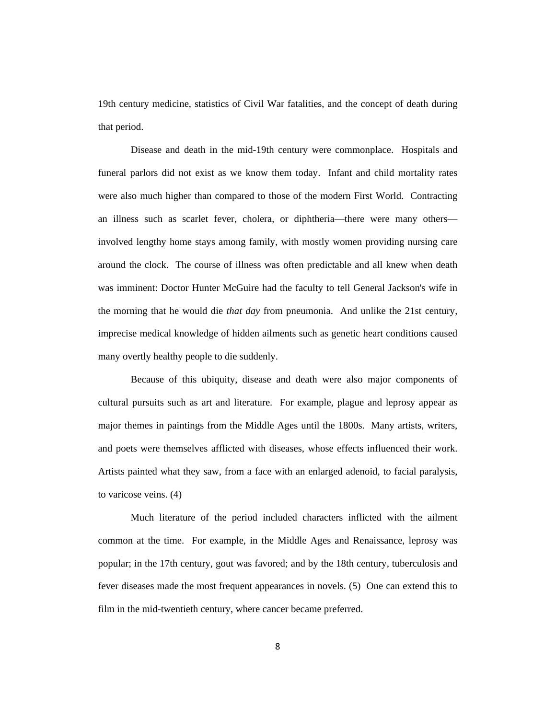19th century medicine, statistics of Civil War fatalities, and the concept of death during that period.

Disease and death in the mid-19th century were commonplace. Hospitals and funeral parlors did not exist as we know them today. Infant and child mortality rates were also much higher than compared to those of the modern First World. Contracting an illness such as scarlet fever, cholera, or diphtheria—there were many others involved lengthy home stays among family, with mostly women providing nursing care around the clock. The course of illness was often predictable and all knew when death was imminent: Doctor Hunter McGuire had the faculty to tell General Jackson's wife in the morning that he would die *that day* from pneumonia. And unlike the 21st century, imprecise medical knowledge of hidden ailments such as genetic heart conditions caused many overtly healthy people to die suddenly.

Because of this ubiquity, disease and death were also major components of cultural pursuits such as art and literature. For example, plague and leprosy appear as major themes in paintings from the Middle Ages until the 1800s. Many artists, writers, and poets were themselves afflicted with diseases, whose effects influenced their work. Artists painted what they saw, from a face with an enlarged adenoid, to facial paralysis, to varicose veins. (4)

Much literature of the period included characters inflicted with the ailment common at the time. For example, in the Middle Ages and Renaissance, leprosy was popular; in the 17th century, gout was favored; and by the 18th century, tuberculosis and fever diseases made the most frequent appearances in novels. (5) One can extend this to film in the mid-twentieth century, where cancer became preferred.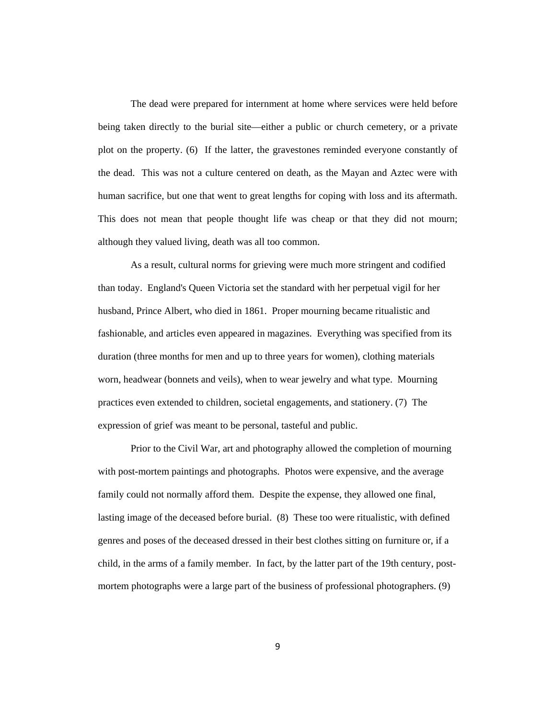The dead were prepared for internment at home where services were held before being taken directly to the burial site—either a public or church cemetery, or a private plot on the property. (6) If the latter, the gravestones reminded everyone constantly of the dead. This was not a culture centered on death, as the Mayan and Aztec were with human sacrifice, but one that went to great lengths for coping with loss and its aftermath. This does not mean that people thought life was cheap or that they did not mourn; although they valued living, death was all too common.

As a result, cultural norms for grieving were much more stringent and codified than today. England's Queen Victoria set the standard with her perpetual vigil for her husband, Prince Albert, who died in 1861. Proper mourning became ritualistic and fashionable, and articles even appeared in magazines. Everything was specified from its duration (three months for men and up to three years for women), clothing materials worn, headwear (bonnets and veils), when to wear jewelry and what type. Mourning practices even extended to children, societal engagements, and stationery. (7) The expression of grief was meant to be personal, tasteful and public.

Prior to the Civil War, art and photography allowed the completion of mourning with post-mortem paintings and photographs. Photos were expensive, and the average family could not normally afford them. Despite the expense, they allowed one final, lasting image of the deceased before burial. (8) These too were ritualistic, with defined genres and poses of the deceased dressed in their best clothes sitting on furniture or, if a child, in the arms of a family member. In fact, by the latter part of the 19th century, postmortem photographs were a large part of the business of professional photographers. (9)

9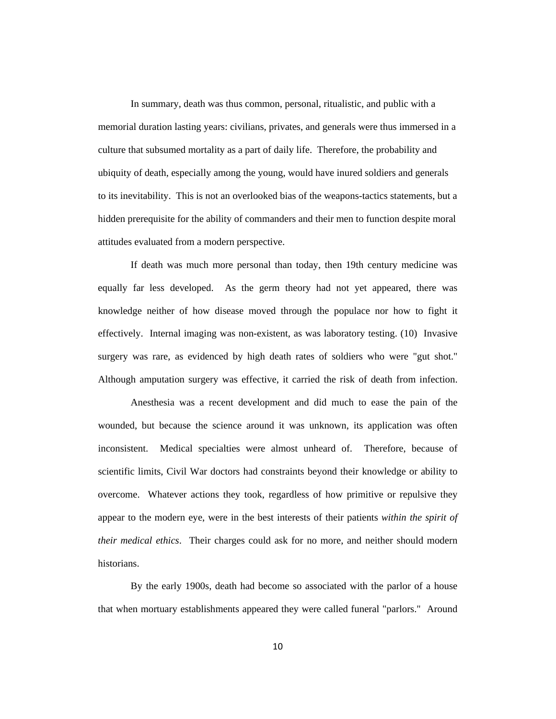In summary, death was thus common, personal, ritualistic, and public with a memorial duration lasting years: civilians, privates, and generals were thus immersed in a culture that subsumed mortality as a part of daily life. Therefore, the probability and ubiquity of death, especially among the young, would have inured soldiers and generals to its inevitability. This is not an overlooked bias of the weapons-tactics statements, but a hidden prerequisite for the ability of commanders and their men to function despite moral attitudes evaluated from a modern perspective.

If death was much more personal than today, then 19th century medicine was equally far less developed. As the germ theory had not yet appeared, there was knowledge neither of how disease moved through the populace nor how to fight it effectively. Internal imaging was non-existent, as was laboratory testing. (10) Invasive surgery was rare, as evidenced by high death rates of soldiers who were "gut shot." Although amputation surgery was effective, it carried the risk of death from infection.

Anesthesia was a recent development and did much to ease the pain of the wounded, but because the science around it was unknown, its application was often inconsistent. Medical specialties were almost unheard of. Therefore, because of scientific limits, Civil War doctors had constraints beyond their knowledge or ability to overcome. Whatever actions they took, regardless of how primitive or repulsive they appear to the modern eye, were in the best interests of their patients *within the spirit of their medical ethics*. Their charges could ask for no more, and neither should modern historians.

By the early 1900s, death had become so associated with the parlor of a house that when mortuary establishments appeared they were called funeral "parlors." Around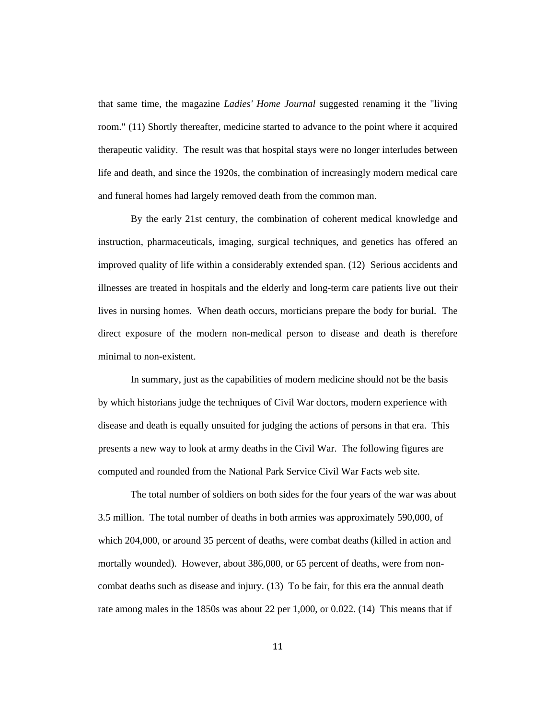that same time, the magazine *Ladies' Home Journal* suggested renaming it the "living room." (11) Shortly thereafter, medicine started to advance to the point where it acquired therapeutic validity. The result was that hospital stays were no longer interludes between life and death, and since the 1920s, the combination of increasingly modern medical care and funeral homes had largely removed death from the common man.

By the early 21st century, the combination of coherent medical knowledge and instruction, pharmaceuticals, imaging, surgical techniques, and genetics has offered an improved quality of life within a considerably extended span. (12) Serious accidents and illnesses are treated in hospitals and the elderly and long-term care patients live out their lives in nursing homes. When death occurs, morticians prepare the body for burial. The direct exposure of the modern non-medical person to disease and death is therefore minimal to non-existent.

In summary, just as the capabilities of modern medicine should not be the basis by which historians judge the techniques of Civil War doctors, modern experience with disease and death is equally unsuited for judging the actions of persons in that era. This presents a new way to look at army deaths in the Civil War. The following figures are computed and rounded from the National Park Service Civil War Facts web site.

The total number of soldiers on both sides for the four years of the war was about 3.5 million. The total number of deaths in both armies was approximately 590,000, of which 204,000, or around 35 percent of deaths, were combat deaths (killed in action and mortally wounded). However, about 386,000, or 65 percent of deaths, were from noncombat deaths such as disease and injury. (13) To be fair, for this era the annual death rate among males in the 1850s was about 22 per 1,000, or 0.022. (14) This means that if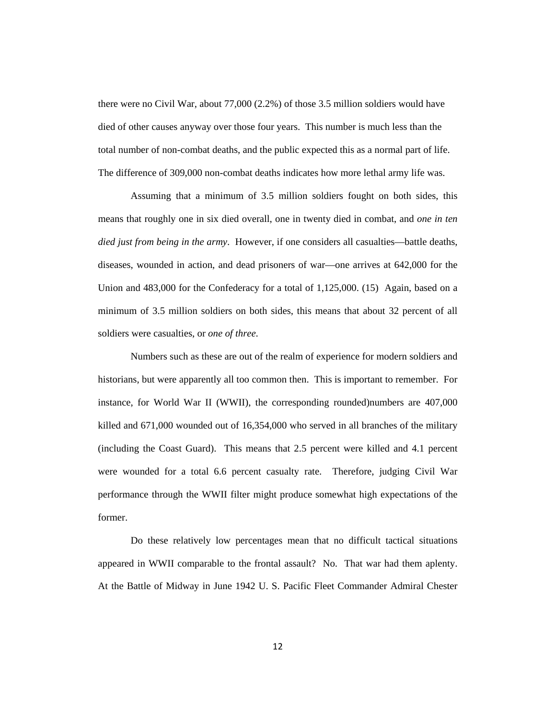there were no Civil War, about 77,000 (2.2%) of those 3.5 million soldiers would have died of other causes anyway over those four years. This number is much less than the total number of non-combat deaths, and the public expected this as a normal part of life. The difference of 309,000 non-combat deaths indicates how more lethal army life was.

Assuming that a minimum of 3.5 million soldiers fought on both sides, this means that roughly one in six died overall, one in twenty died in combat, and *one in ten died just from being in the army.* However, if one considers all casualties—battle deaths, diseases, wounded in action, and dead prisoners of war—one arrives at 642,000 for the Union and 483,000 for the Confederacy for a total of 1,125,000. (15) Again, based on a minimum of 3.5 million soldiers on both sides, this means that about 32 percent of all soldiers were casualties, or *one of three*.

Numbers such as these are out of the realm of experience for modern soldiers and historians, but were apparently all too common then. This is important to remember. For instance, for World War II (WWII), the corresponding rounded)numbers are 407,000 killed and 671,000 wounded out of 16,354,000 who served in all branches of the military (including the Coast Guard). This means that 2.5 percent were killed and 4.1 percent were wounded for a total 6.6 percent casualty rate. Therefore, judging Civil War performance through the WWII filter might produce somewhat high expectations of the former.

Do these relatively low percentages mean that no difficult tactical situations appeared in WWII comparable to the frontal assault? No. That war had them aplenty. At the Battle of Midway in June 1942 U. S. Pacific Fleet Commander Admiral Chester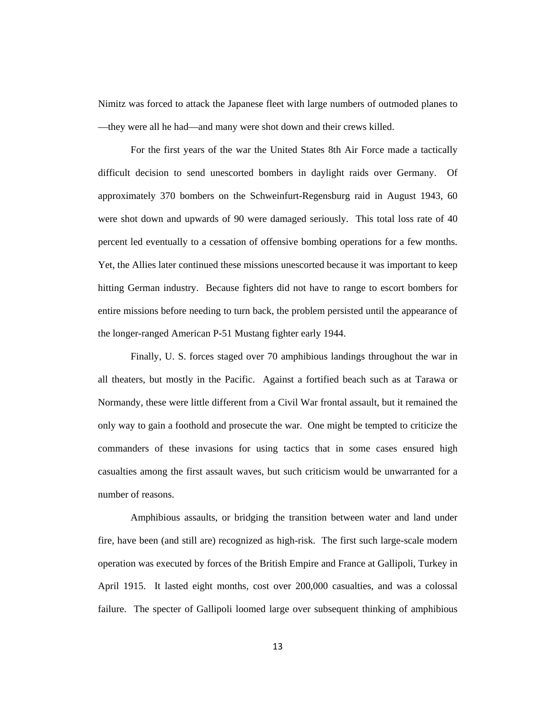Nimitz was forced to attack the Japanese fleet with large numbers of outmoded planes to —they were all he had—and many were shot down and their crews killed.

For the first years of the war the United States 8th Air Force made a tactically difficult decision to send unescorted bombers in daylight raids over Germany. Of approximately 370 bombers on the Schweinfurt-Regensburg raid in August 1943, 60 were shot down and upwards of 90 were damaged seriously. This total loss rate of 40 percent led eventually to a cessation of offensive bombing operations for a few months. Yet, the Allies later continued these missions unescorted because it was important to keep hitting German industry. Because fighters did not have to range to escort bombers for entire missions before needing to turn back, the problem persisted until the appearance of the longer-ranged American P-51 Mustang fighter early 1944.

Finally, U. S. forces staged over 70 amphibious landings throughout the war in all theaters, but mostly in the Pacific. Against a fortified beach such as at Tarawa or Normandy, these were little different from a Civil War frontal assault, but it remained the only way to gain a foothold and prosecute the war. One might be tempted to criticize the commanders of these invasions for using tactics that in some cases ensured high casualties among the first assault waves, but such criticism would be unwarranted for a number of reasons.

Amphibious assaults, or bridging the transition between water and land under fire, have been (and still are) recognized as high-risk. The first such large-scale modern operation was executed by forces of the British Empire and France at Gallipoli, Turkey in April 1915. It lasted eight months, cost over 200,000 casualties, and was a colossal failure. The specter of Gallipoli loomed large over subsequent thinking of amphibious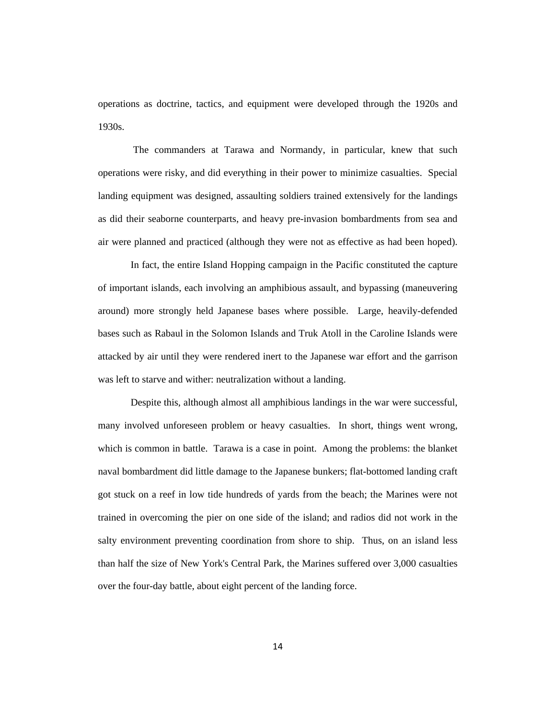operations as doctrine, tactics, and equipment were developed through the 1920s and 1930s.

The commanders at Tarawa and Normandy, in particular, knew that such operations were risky, and did everything in their power to minimize casualties. Special landing equipment was designed, assaulting soldiers trained extensively for the landings as did their seaborne counterparts, and heavy pre-invasion bombardments from sea and air were planned and practiced (although they were not as effective as had been hoped).

In fact, the entire Island Hopping campaign in the Pacific constituted the capture of important islands, each involving an amphibious assault, and bypassing (maneuvering around) more strongly held Japanese bases where possible. Large, heavily-defended bases such as Rabaul in the Solomon Islands and Truk Atoll in the Caroline Islands were attacked by air until they were rendered inert to the Japanese war effort and the garrison was left to starve and wither: neutralization without a landing.

Despite this, although almost all amphibious landings in the war were successful, many involved unforeseen problem or heavy casualties. In short, things went wrong, which is common in battle. Tarawa is a case in point. Among the problems: the blanket naval bombardment did little damage to the Japanese bunkers; flat-bottomed landing craft got stuck on a reef in low tide hundreds of yards from the beach; the Marines were not trained in overcoming the pier on one side of the island; and radios did not work in the salty environment preventing coordination from shore to ship. Thus, on an island less than half the size of New York's Central Park, the Marines suffered over 3,000 casualties over the four-day battle, about eight percent of the landing force.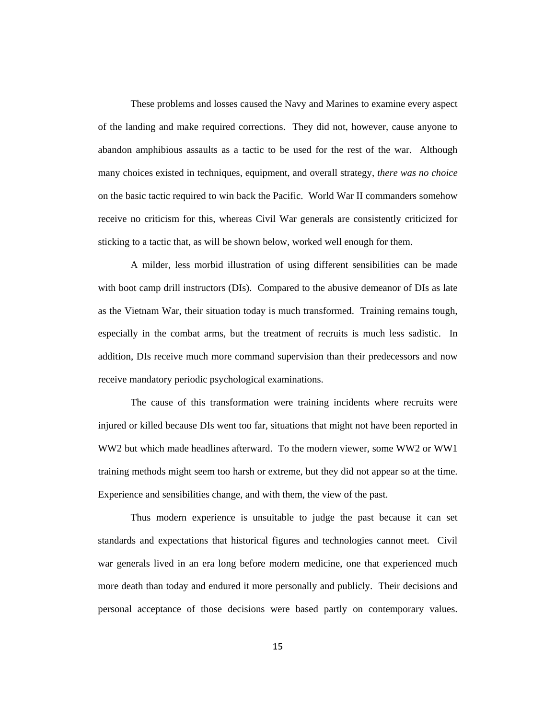These problems and losses caused the Navy and Marines to examine every aspect of the landing and make required corrections. They did not, however, cause anyone to abandon amphibious assaults as a tactic to be used for the rest of the war. Although many choices existed in techniques, equipment, and overall strategy, *there was no choice* on the basic tactic required to win back the Pacific. World War II commanders somehow receive no criticism for this, whereas Civil War generals are consistently criticized for sticking to a tactic that, as will be shown below, worked well enough for them.

A milder, less morbid illustration of using different sensibilities can be made with boot camp drill instructors (DIs). Compared to the abusive demeanor of DIs as late as the Vietnam War, their situation today is much transformed. Training remains tough, especially in the combat arms, but the treatment of recruits is much less sadistic. In addition, DIs receive much more command supervision than their predecessors and now receive mandatory periodic psychological examinations.

The cause of this transformation were training incidents where recruits were injured or killed because DIs went too far, situations that might not have been reported in WW2 but which made headlines afterward. To the modern viewer, some WW2 or WW1 training methods might seem too harsh or extreme, but they did not appear so at the time. Experience and sensibilities change, and with them, the view of the past.

Thus modern experience is unsuitable to judge the past because it can set standards and expectations that historical figures and technologies cannot meet. Civil war generals lived in an era long before modern medicine, one that experienced much more death than today and endured it more personally and publicly. Their decisions and personal acceptance of those decisions were based partly on contemporary values.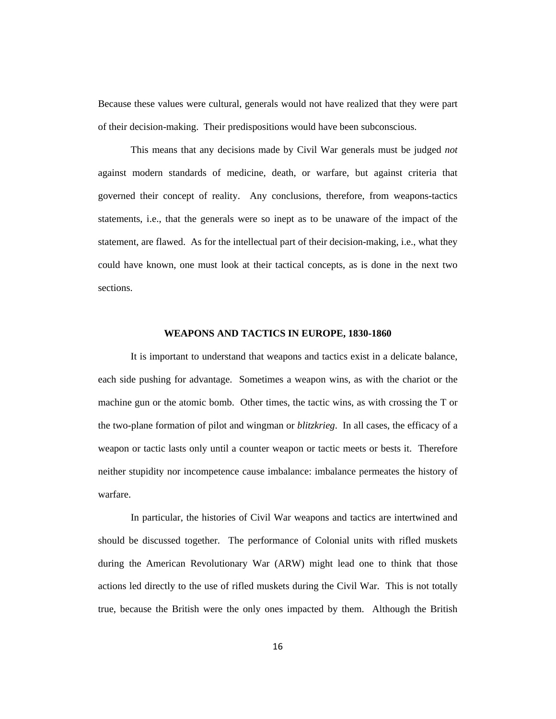Because these values were cultural, generals would not have realized that they were part of their decision-making. Their predispositions would have been subconscious.

This means that any decisions made by Civil War generals must be judged *not* against modern standards of medicine, death, or warfare, but against criteria that governed their concept of reality. Any conclusions, therefore, from weapons-tactics statements, i.e., that the generals were so inept as to be unaware of the impact of the statement, are flawed. As for the intellectual part of their decision-making, i.e., what they could have known, one must look at their tactical concepts, as is done in the next two sections.

## **WEAPONS AND TACTICS IN EUROPE, 1830-1860**

It is important to understand that weapons and tactics exist in a delicate balance, each side pushing for advantage. Sometimes a weapon wins, as with the chariot or the machine gun or the atomic bomb. Other times, the tactic wins, as with crossing the T or the two-plane formation of pilot and wingman or *blitzkrieg*. In all cases, the efficacy of a weapon or tactic lasts only until a counter weapon or tactic meets or bests it. Therefore neither stupidity nor incompetence cause imbalance: imbalance permeates the history of warfare.

In particular, the histories of Civil War weapons and tactics are intertwined and should be discussed together. The performance of Colonial units with rifled muskets during the American Revolutionary War (ARW) might lead one to think that those actions led directly to the use of rifled muskets during the Civil War. This is not totally true, because the British were the only ones impacted by them. Although the British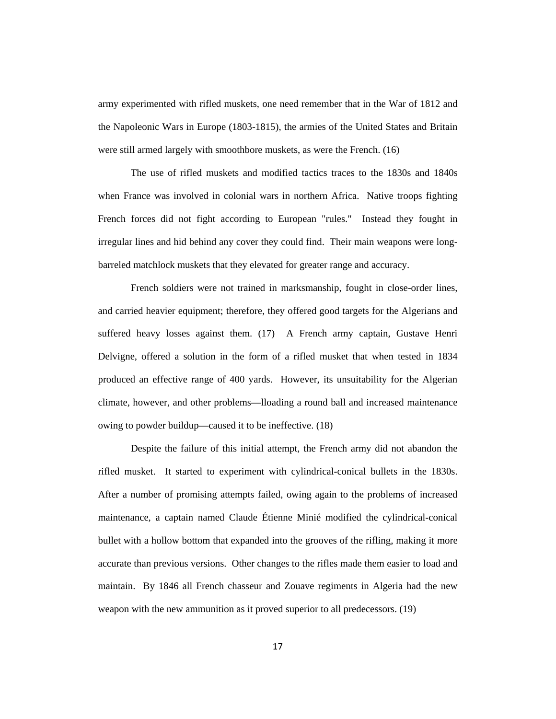army experimented with rifled muskets, one need remember that in the War of 1812 and the Napoleonic Wars in Europe (1803-1815), the armies of the United States and Britain were still armed largely with smoothbore muskets, as were the French. (16)

The use of rifled muskets and modified tactics traces to the 1830s and 1840s when France was involved in colonial wars in northern Africa. Native troops fighting French forces did not fight according to European "rules." Instead they fought in irregular lines and hid behind any cover they could find. Their main weapons were longbarreled matchlock muskets that they elevated for greater range and accuracy.

French soldiers were not trained in marksmanship, fought in close-order lines, and carried heavier equipment; therefore, they offered good targets for the Algerians and suffered heavy losses against them. (17) A French army captain, Gustave Henri Delvigne, offered a solution in the form of a rifled musket that when tested in 1834 produced an effective range of 400 yards. However, its unsuitability for the Algerian climate, however, and other problems—lloading a round ball and increased maintenance owing to powder buildup—caused it to be ineffective. (18)

Despite the failure of this initial attempt, the French army did not abandon the rifled musket. It started to experiment with cylindrical-conical bullets in the 1830s. After a number of promising attempts failed, owing again to the problems of increased maintenance, a captain named Claude Étienne Minié modified the cylindrical-conical bullet with a hollow bottom that expanded into the grooves of the rifling, making it more accurate than previous versions. Other changes to the rifles made them easier to load and maintain. By 1846 all French chasseur and Zouave regiments in Algeria had the new weapon with the new ammunition as it proved superior to all predecessors. (19)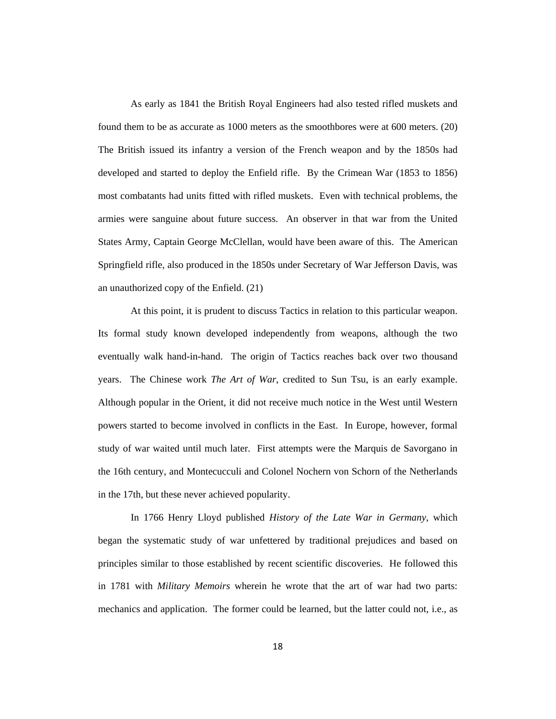As early as 1841 the British Royal Engineers had also tested rifled muskets and found them to be as accurate as 1000 meters as the smoothbores were at 600 meters. (20) The British issued its infantry a version of the French weapon and by the 1850s had developed and started to deploy the Enfield rifle. By the Crimean War (1853 to 1856) most combatants had units fitted with rifled muskets. Even with technical problems, the armies were sanguine about future success. An observer in that war from the United States Army, Captain George McClellan, would have been aware of this. The American Springfield rifle, also produced in the 1850s under Secretary of War Jefferson Davis, was an unauthorized copy of the Enfield. (21)

At this point, it is prudent to discuss Tactics in relation to this particular weapon. Its formal study known developed independently from weapons, although the two eventually walk hand-in-hand. The origin of Tactics reaches back over two thousand years. The Chinese work *The Art of War*, credited to Sun Tsu, is an early example. Although popular in the Orient, it did not receive much notice in the West until Western powers started to become involved in conflicts in the East. In Europe, however, formal study of war waited until much later. First attempts were the Marquis de Savorgano in the 16th century, and Montecucculi and Colonel Nochern von Schorn of the Netherlands in the 17th, but these never achieved popularity.

In 1766 Henry Lloyd published *History of the Late War in Germany*, which began the systematic study of war unfettered by traditional prejudices and based on principles similar to those established by recent scientific discoveries. He followed this in 1781 with *Military Memoirs* wherein he wrote that the art of war had two parts: mechanics and application. The former could be learned, but the latter could not, i.e., as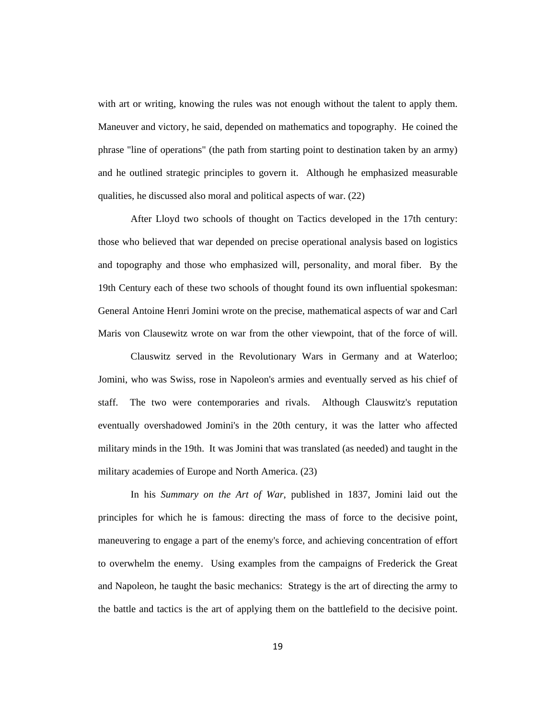with art or writing, knowing the rules was not enough without the talent to apply them. Maneuver and victory, he said, depended on mathematics and topography. He coined the phrase "line of operations" (the path from starting point to destination taken by an army) and he outlined strategic principles to govern it. Although he emphasized measurable qualities, he discussed also moral and political aspects of war. (22)

After Lloyd two schools of thought on Tactics developed in the 17th century: those who believed that war depended on precise operational analysis based on logistics and topography and those who emphasized will, personality, and moral fiber. By the 19th Century each of these two schools of thought found its own influential spokesman: General Antoine Henri Jomini wrote on the precise, mathematical aspects of war and Carl Maris von Clausewitz wrote on war from the other viewpoint, that of the force of will.

Clauswitz served in the Revolutionary Wars in Germany and at Waterloo; Jomini, who was Swiss, rose in Napoleon's armies and eventually served as his chief of staff. The two were contemporaries and rivals. Although Clauswitz's reputation eventually overshadowed Jomini's in the 20th century, it was the latter who affected military minds in the 19th. It was Jomini that was translated (as needed) and taught in the military academies of Europe and North America. (23)

In his *Summary on the Art of War*, published in 1837, Jomini laid out the principles for which he is famous: directing the mass of force to the decisive point, maneuvering to engage a part of the enemy's force, and achieving concentration of effort to overwhelm the enemy. Using examples from the campaigns of Frederick the Great and Napoleon, he taught the basic mechanics: Strategy is the art of directing the army to the battle and tactics is the art of applying them on the battlefield to the decisive point.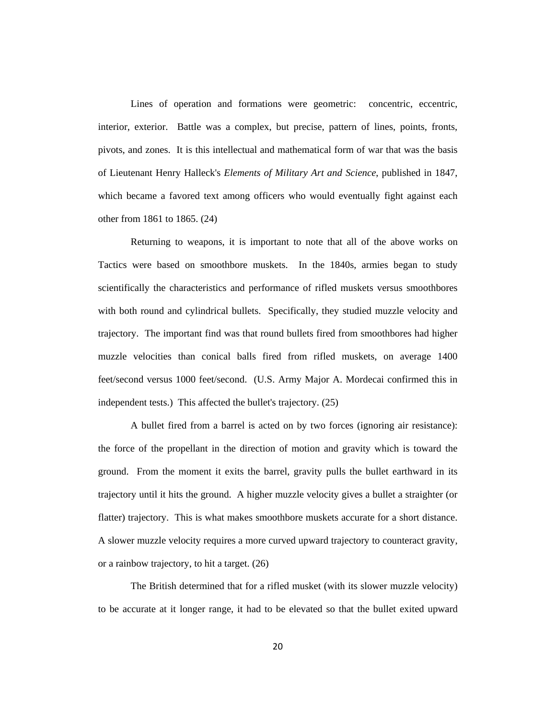Lines of operation and formations were geometric: concentric, eccentric, interior, exterior. Battle was a complex, but precise, pattern of lines, points, fronts, pivots, and zones. It is this intellectual and mathematical form of war that was the basis of Lieutenant Henry Halleck's *Elements of Military Art and Science*, published in 1847, which became a favored text among officers who would eventually fight against each other from 1861 to 1865. (24)

Returning to weapons, it is important to note that all of the above works on Tactics were based on smoothbore muskets. In the 1840s, armies began to study scientifically the characteristics and performance of rifled muskets versus smoothbores with both round and cylindrical bullets. Specifically, they studied muzzle velocity and trajectory. The important find was that round bullets fired from smoothbores had higher muzzle velocities than conical balls fired from rifled muskets, on average 1400 feet/second versus 1000 feet/second. (U.S. Army Major A. Mordecai confirmed this in independent tests.) This affected the bullet's trajectory. (25)

A bullet fired from a barrel is acted on by two forces (ignoring air resistance): the force of the propellant in the direction of motion and gravity which is toward the ground. From the moment it exits the barrel, gravity pulls the bullet earthward in its trajectory until it hits the ground. A higher muzzle velocity gives a bullet a straighter (or flatter) trajectory. This is what makes smoothbore muskets accurate for a short distance. A slower muzzle velocity requires a more curved upward trajectory to counteract gravity, or a rainbow trajectory, to hit a target. (26)

The British determined that for a rifled musket (with its slower muzzle velocity) to be accurate at it longer range, it had to be elevated so that the bullet exited upward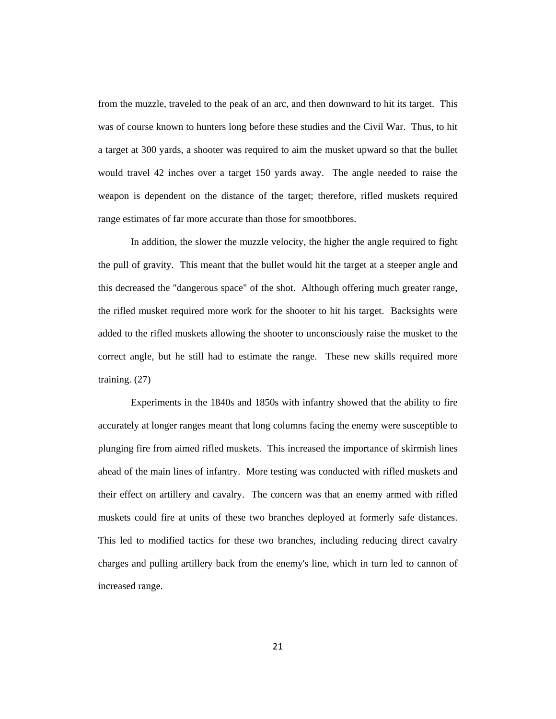from the muzzle, traveled to the peak of an arc, and then downward to hit its target. This was of course known to hunters long before these studies and the Civil War. Thus, to hit a target at 300 yards, a shooter was required to aim the musket upward so that the bullet would travel 42 inches over a target 150 yards away. The angle needed to raise the weapon is dependent on the distance of the target; therefore, rifled muskets required range estimates of far more accurate than those for smoothbores.

In addition, the slower the muzzle velocity, the higher the angle required to fight the pull of gravity. This meant that the bullet would hit the target at a steeper angle and this decreased the "dangerous space" of the shot. Although offering much greater range, the rifled musket required more work for the shooter to hit his target. Backsights were added to the rifled muskets allowing the shooter to unconsciously raise the musket to the correct angle, but he still had to estimate the range. These new skills required more training. (27)

Experiments in the 1840s and 1850s with infantry showed that the ability to fire accurately at longer ranges meant that long columns facing the enemy were susceptible to plunging fire from aimed rifled muskets. This increased the importance of skirmish lines ahead of the main lines of infantry. More testing was conducted with rifled muskets and their effect on artillery and cavalry. The concern was that an enemy armed with rifled muskets could fire at units of these two branches deployed at formerly safe distances. This led to modified tactics for these two branches, including reducing direct cavalry charges and pulling artillery back from the enemy's line, which in turn led to cannon of increased range.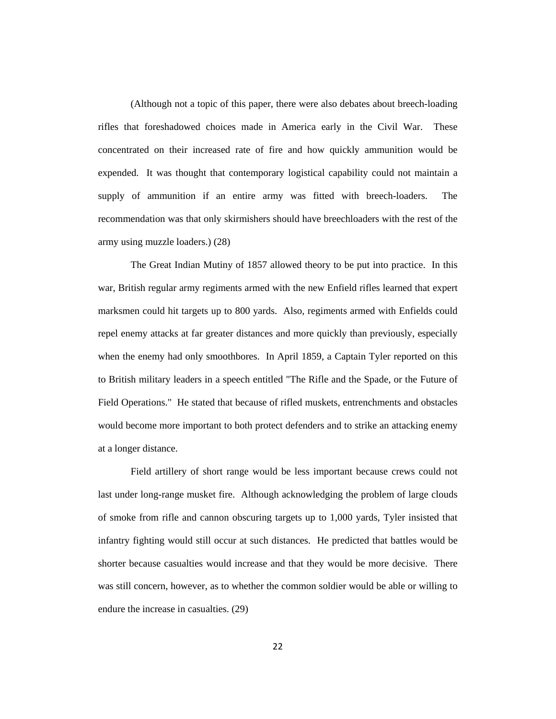(Although not a topic of this paper, there were also debates about breech-loading rifles that foreshadowed choices made in America early in the Civil War. These concentrated on their increased rate of fire and how quickly ammunition would be expended. It was thought that contemporary logistical capability could not maintain a supply of ammunition if an entire army was fitted with breech-loaders. The recommendation was that only skirmishers should have breechloaders with the rest of the army using muzzle loaders.) (28)

The Great Indian Mutiny of 1857 allowed theory to be put into practice. In this war, British regular army regiments armed with the new Enfield rifles learned that expert marksmen could hit targets up to 800 yards. Also, regiments armed with Enfields could repel enemy attacks at far greater distances and more quickly than previously, especially when the enemy had only smoothbores. In April 1859, a Captain Tyler reported on this to British military leaders in a speech entitled "The Rifle and the Spade, or the Future of Field Operations." He stated that because of rifled muskets, entrenchments and obstacles would become more important to both protect defenders and to strike an attacking enemy at a longer distance.

Field artillery of short range would be less important because crews could not last under long-range musket fire. Although acknowledging the problem of large clouds of smoke from rifle and cannon obscuring targets up to 1,000 yards, Tyler insisted that infantry fighting would still occur at such distances. He predicted that battles would be shorter because casualties would increase and that they would be more decisive. There was still concern, however, as to whether the common soldier would be able or willing to endure the increase in casualties. (29)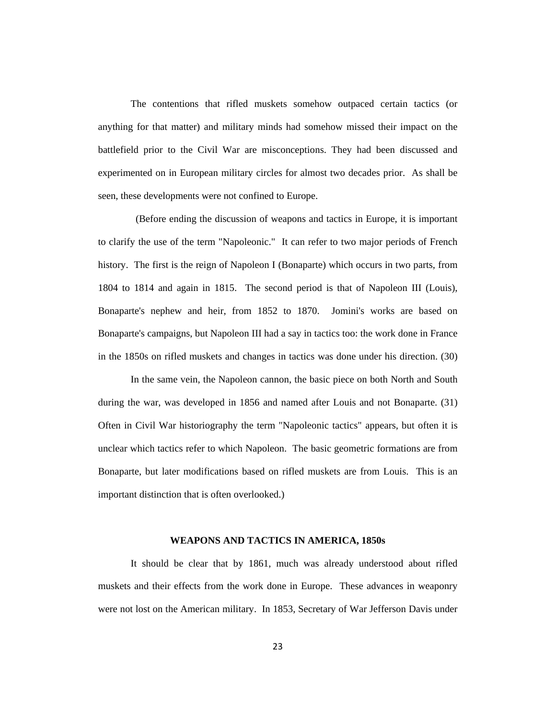The contentions that rifled muskets somehow outpaced certain tactics (or anything for that matter) and military minds had somehow missed their impact on the battlefield prior to the Civil War are misconceptions. They had been discussed and experimented on in European military circles for almost two decades prior. As shall be seen, these developments were not confined to Europe.

 (Before ending the discussion of weapons and tactics in Europe, it is important to clarify the use of the term "Napoleonic." It can refer to two major periods of French history. The first is the reign of Napoleon I (Bonaparte) which occurs in two parts, from 1804 to 1814 and again in 1815. The second period is that of Napoleon III (Louis), Bonaparte's nephew and heir, from 1852 to 1870. Jomini's works are based on Bonaparte's campaigns, but Napoleon III had a say in tactics too: the work done in France in the 1850s on rifled muskets and changes in tactics was done under his direction. (30)

In the same vein, the Napoleon cannon, the basic piece on both North and South during the war, was developed in 1856 and named after Louis and not Bonaparte. (31) Often in Civil War historiography the term "Napoleonic tactics" appears, but often it is unclear which tactics refer to which Napoleon. The basic geometric formations are from Bonaparte, but later modifications based on rifled muskets are from Louis. This is an important distinction that is often overlooked.)

#### **WEAPONS AND TACTICS IN AMERICA, 1850s**

It should be clear that by 1861, much was already understood about rifled muskets and their effects from the work done in Europe. These advances in weaponry were not lost on the American military. In 1853, Secretary of War Jefferson Davis under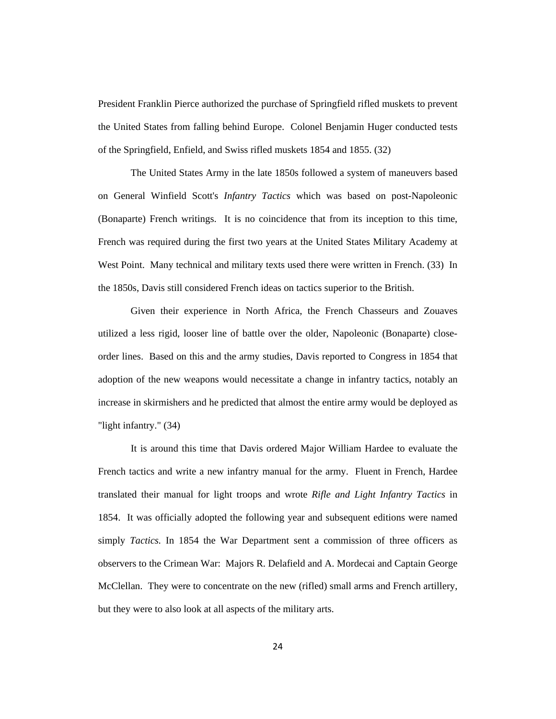President Franklin Pierce authorized the purchase of Springfield rifled muskets to prevent the United States from falling behind Europe. Colonel Benjamin Huger conducted tests of the Springfield, Enfield, and Swiss rifled muskets 1854 and 1855. (32)

The United States Army in the late 1850s followed a system of maneuvers based on General Winfield Scott's *Infantry Tactics* which was based on post-Napoleonic (Bonaparte) French writings. It is no coincidence that from its inception to this time, French was required during the first two years at the United States Military Academy at West Point. Many technical and military texts used there were written in French. (33) In the 1850s, Davis still considered French ideas on tactics superior to the British.

Given their experience in North Africa, the French Chasseurs and Zouaves utilized a less rigid, looser line of battle over the older, Napoleonic (Bonaparte) closeorder lines. Based on this and the army studies, Davis reported to Congress in 1854 that adoption of the new weapons would necessitate a change in infantry tactics, notably an increase in skirmishers and he predicted that almost the entire army would be deployed as "light infantry." (34)

It is around this time that Davis ordered Major William Hardee to evaluate the French tactics and write a new infantry manual for the army. Fluent in French, Hardee translated their manual for light troops and wrote *Rifle and Light Infantry Tactics* in 1854. It was officially adopted the following year and subsequent editions were named simply *Tactics.* In 1854 the War Department sent a commission of three officers as observers to the Crimean War: Majors R. Delafield and A. Mordecai and Captain George McClellan. They were to concentrate on the new (rifled) small arms and French artillery, but they were to also look at all aspects of the military arts.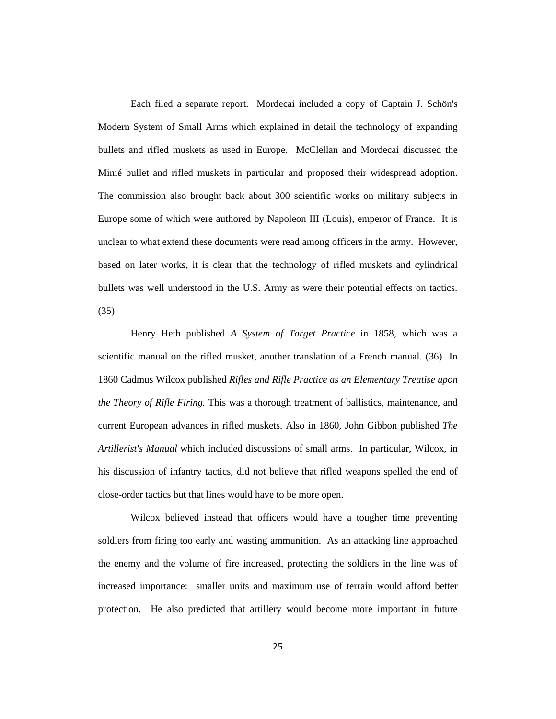Each filed a separate report. Mordecai included a copy of Captain J. Schön's Modern System of Small Arms which explained in detail the technology of expanding bullets and rifled muskets as used in Europe. McClellan and Mordecai discussed the Minié bullet and rifled muskets in particular and proposed their widespread adoption. The commission also brought back about 300 scientific works on military subjects in Europe some of which were authored by Napoleon III (Louis), emperor of France. It is unclear to what extend these documents were read among officers in the army. However, based on later works, it is clear that the technology of rifled muskets and cylindrical bullets was well understood in the U.S. Army as were their potential effects on tactics. (35)

Henry Heth published *A System of Target Practice* in 1858, which was a scientific manual on the rifled musket, another translation of a French manual. (36) In 1860 Cadmus Wilcox published *Rifles and Rifle Practice as an Elementary Treatise upon the Theory of Rifle Firing.* This was a thorough treatment of ballistics, maintenance, and current European advances in rifled muskets. Also in 1860, John Gibbon published *The Artillerist's Manual* which included discussions of small arms. In particular, Wilcox, in his discussion of infantry tactics, did not believe that rifled weapons spelled the end of close-order tactics but that lines would have to be more open.

Wilcox believed instead that officers would have a tougher time preventing soldiers from firing too early and wasting ammunition. As an attacking line approached the enemy and the volume of fire increased, protecting the soldiers in the line was of increased importance: smaller units and maximum use of terrain would afford better protection. He also predicted that artillery would become more important in future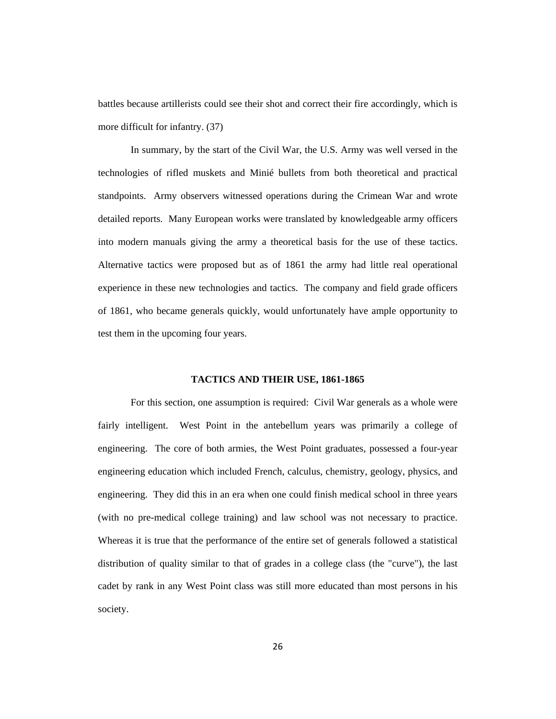battles because artillerists could see their shot and correct their fire accordingly, which is more difficult for infantry. (37)

In summary, by the start of the Civil War, the U.S. Army was well versed in the technologies of rifled muskets and Minié bullets from both theoretical and practical standpoints. Army observers witnessed operations during the Crimean War and wrote detailed reports. Many European works were translated by knowledgeable army officers into modern manuals giving the army a theoretical basis for the use of these tactics. Alternative tactics were proposed but as of 1861 the army had little real operational experience in these new technologies and tactics. The company and field grade officers of 1861, who became generals quickly, would unfortunately have ample opportunity to test them in the upcoming four years.

## **TACTICS AND THEIR USE, 1861-1865**

For this section, one assumption is required: Civil War generals as a whole were fairly intelligent. West Point in the antebellum years was primarily a college of engineering. The core of both armies, the West Point graduates, possessed a four-year engineering education which included French, calculus, chemistry, geology, physics, and engineering. They did this in an era when one could finish medical school in three years (with no pre-medical college training) and law school was not necessary to practice. Whereas it is true that the performance of the entire set of generals followed a statistical distribution of quality similar to that of grades in a college class (the "curve"), the last cadet by rank in any West Point class was still more educated than most persons in his society.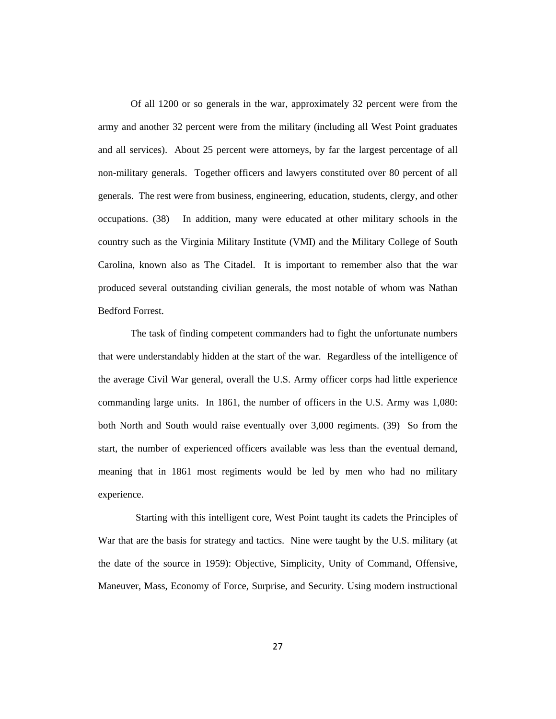Of all 1200 or so generals in the war, approximately 32 percent were from the army and another 32 percent were from the military (including all West Point graduates and all services). About 25 percent were attorneys, by far the largest percentage of all non-military generals. Together officers and lawyers constituted over 80 percent of all generals. The rest were from business, engineering, education, students, clergy, and other occupations. (38) In addition, many were educated at other military schools in the country such as the Virginia Military Institute (VMI) and the Military College of South Carolina, known also as The Citadel. It is important to remember also that the war produced several outstanding civilian generals, the most notable of whom was Nathan Bedford Forrest.

The task of finding competent commanders had to fight the unfortunate numbers that were understandably hidden at the start of the war. Regardless of the intelligence of the average Civil War general, overall the U.S. Army officer corps had little experience commanding large units. In 1861, the number of officers in the U.S. Army was 1,080: both North and South would raise eventually over 3,000 regiments. (39) So from the start, the number of experienced officers available was less than the eventual demand, meaning that in 1861 most regiments would be led by men who had no military experience.

 Starting with this intelligent core, West Point taught its cadets the Principles of War that are the basis for strategy and tactics. Nine were taught by the U.S. military (at the date of the source in 1959): Objective, Simplicity, Unity of Command, Offensive, Maneuver, Mass, Economy of Force, Surprise, and Security. Using modern instructional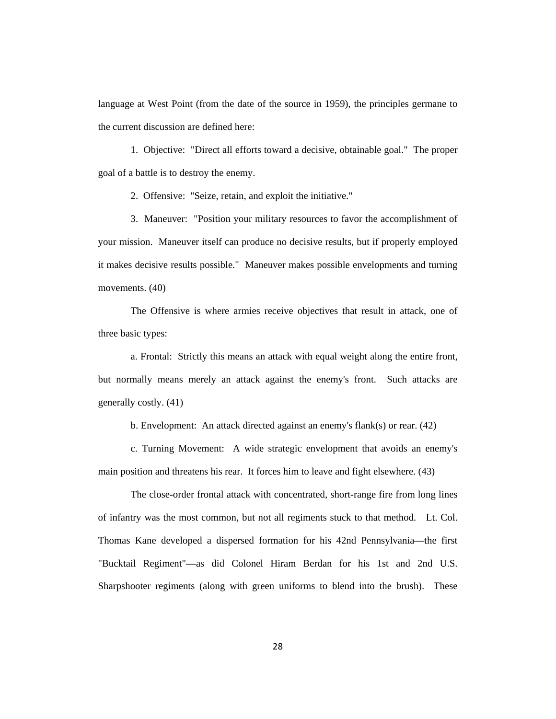language at West Point (from the date of the source in 1959), the principles germane to the current discussion are defined here:

1. Objective: "Direct all efforts toward a decisive, obtainable goal." The proper goal of a battle is to destroy the enemy.

2. Offensive: "Seize, retain, and exploit the initiative."

3. Maneuver: "Position your military resources to favor the accomplishment of your mission. Maneuver itself can produce no decisive results, but if properly employed it makes decisive results possible." Maneuver makes possible envelopments and turning movements. (40)

The Offensive is where armies receive objectives that result in attack, one of three basic types:

a. Frontal: Strictly this means an attack with equal weight along the entire front, but normally means merely an attack against the enemy's front. Such attacks are generally costly. (41)

b. Envelopment: An attack directed against an enemy's flank(s) or rear. (42)

c. Turning Movement: A wide strategic envelopment that avoids an enemy's main position and threatens his rear. It forces him to leave and fight elsewhere. (43)

The close-order frontal attack with concentrated, short-range fire from long lines of infantry was the most common, but not all regiments stuck to that method. Lt. Col. Thomas Kane developed a dispersed formation for his 42nd Pennsylvania—the first "Bucktail Regiment"—as did Colonel Hiram Berdan for his 1st and 2nd U.S. Sharpshooter regiments (along with green uniforms to blend into the brush). These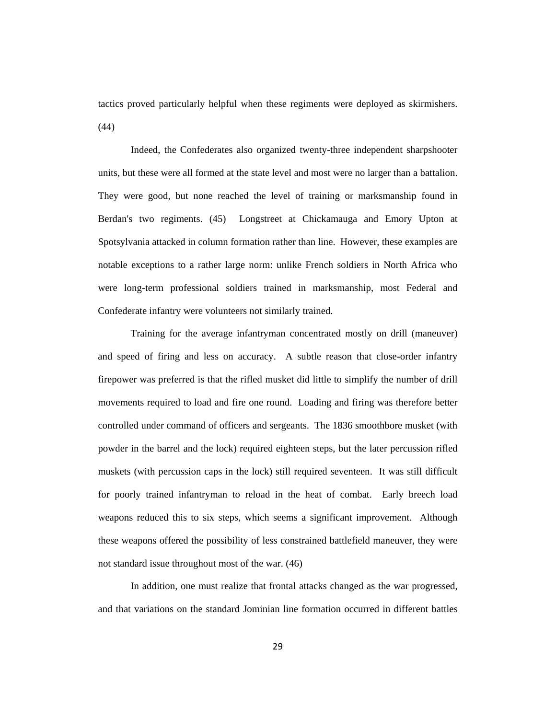tactics proved particularly helpful when these regiments were deployed as skirmishers. (44)

Indeed, the Confederates also organized twenty-three independent sharpshooter units, but these were all formed at the state level and most were no larger than a battalion. They were good, but none reached the level of training or marksmanship found in Berdan's two regiments. (45) Longstreet at Chickamauga and Emory Upton at Spotsylvania attacked in column formation rather than line. However, these examples are notable exceptions to a rather large norm: unlike French soldiers in North Africa who were long-term professional soldiers trained in marksmanship, most Federal and Confederate infantry were volunteers not similarly trained.

Training for the average infantryman concentrated mostly on drill (maneuver) and speed of firing and less on accuracy. A subtle reason that close-order infantry firepower was preferred is that the rifled musket did little to simplify the number of drill movements required to load and fire one round. Loading and firing was therefore better controlled under command of officers and sergeants. The 1836 smoothbore musket (with powder in the barrel and the lock) required eighteen steps, but the later percussion rifled muskets (with percussion caps in the lock) still required seventeen. It was still difficult for poorly trained infantryman to reload in the heat of combat. Early breech load weapons reduced this to six steps, which seems a significant improvement. Although these weapons offered the possibility of less constrained battlefield maneuver, they were not standard issue throughout most of the war. (46)

In addition, one must realize that frontal attacks changed as the war progressed, and that variations on the standard Jominian line formation occurred in different battles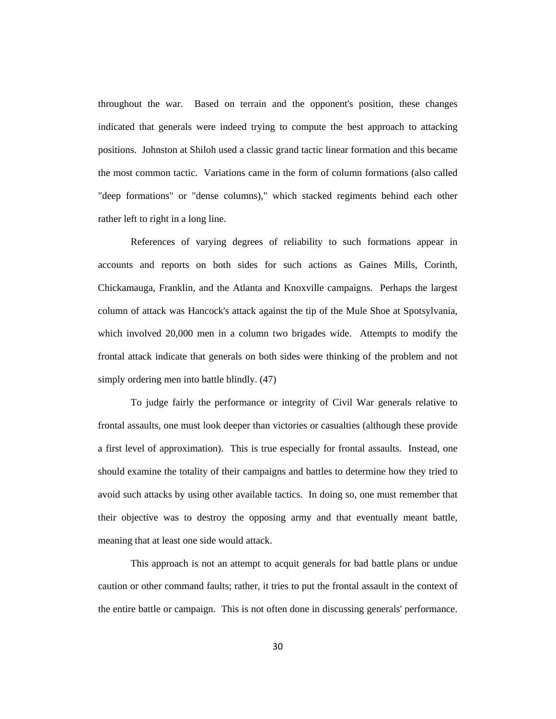throughout the war. Based on terrain and the opponent's position, these changes indicated that generals were indeed trying to compute the best approach to attacking positions. Johnston at Shiloh used a classic grand tactic linear formation and this became the most common tactic. Variations came in the form of column formations (also called "deep formations" or "dense columns)," which stacked regiments behind each other rather left to right in a long line.

References of varying degrees of reliability to such formations appear in accounts and reports on both sides for such actions as Gaines Mills, Corinth, Chickamauga, Franklin, and the Atlanta and Knoxville campaigns. Perhaps the largest column of attack was Hancock's attack against the tip of the Mule Shoe at Spotsylvania, which involved 20,000 men in a column two brigades wide. Attempts to modify the frontal attack indicate that generals on both sides were thinking of the problem and not simply ordering men into battle blindly. (47)

To judge fairly the performance or integrity of Civil War generals relative to frontal assaults, one must look deeper than victories or casualties (although these provide a first level of approximation). This is true especially for frontal assaults. Instead, one should examine the totality of their campaigns and battles to determine how they tried to avoid such attacks by using other available tactics. In doing so, one must remember that their objective was to destroy the opposing army and that eventually meant battle, meaning that at least one side would attack.

This approach is not an attempt to acquit generals for bad battle plans or undue caution or other command faults; rather, it tries to put the frontal assault in the context of the entire battle or campaign. This is not often done in discussing generals' performance.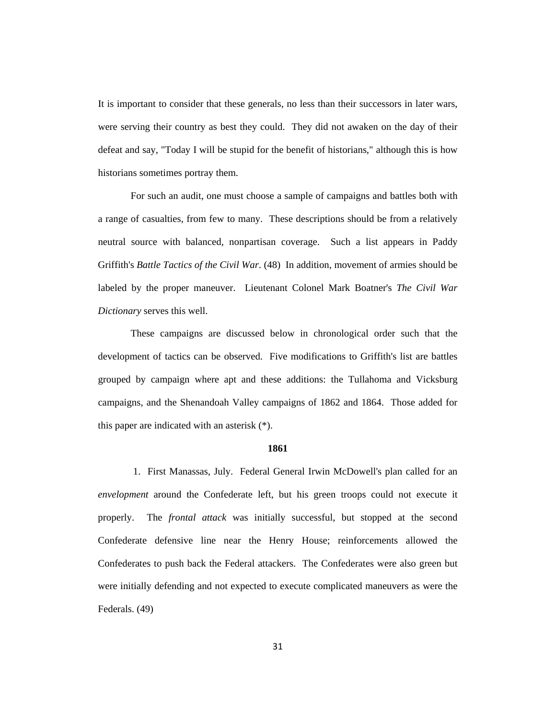It is important to consider that these generals, no less than their successors in later wars, were serving their country as best they could. They did not awaken on the day of their defeat and say, "Today I will be stupid for the benefit of historians," although this is how historians sometimes portray them.

For such an audit, one must choose a sample of campaigns and battles both with a range of casualties, from few to many. These descriptions should be from a relatively neutral source with balanced, nonpartisan coverage. Such a list appears in Paddy Griffith's *Battle Tactics of the Civil War*. (48) In addition, movement of armies should be labeled by the proper maneuver. Lieutenant Colonel Mark Boatner's *The Civil War Dictionary* serves this well.

These campaigns are discussed below in chronological order such that the development of tactics can be observed. Five modifications to Griffith's list are battles grouped by campaign where apt and these additions: the Tullahoma and Vicksburg campaigns, and the Shenandoah Valley campaigns of 1862 and 1864. Those added for this paper are indicated with an asterisk (\*).

## **1861**

1. First Manassas, July. Federal General Irwin McDowell's plan called for an *envelopment* around the Confederate left, but his green troops could not execute it properly. The *frontal attack* was initially successful, but stopped at the second Confederate defensive line near the Henry House; reinforcements allowed the Confederates to push back the Federal attackers. The Confederates were also green but were initially defending and not expected to execute complicated maneuvers as were the Federals. (49)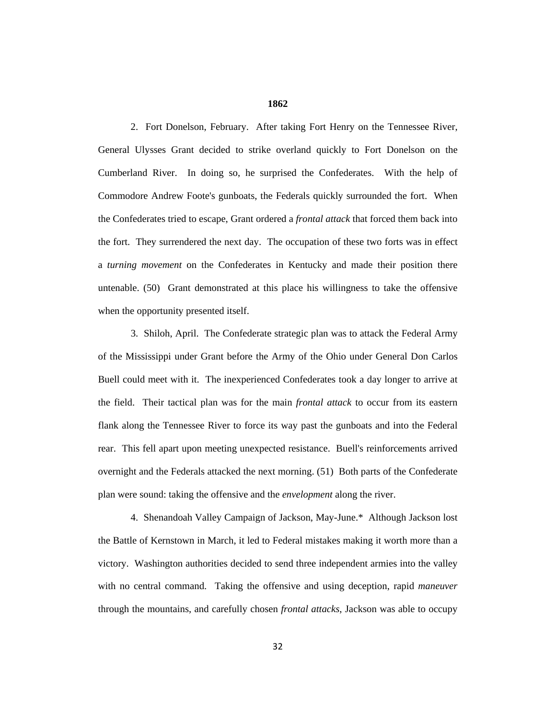## **1862**

2. Fort Donelson, February. After taking Fort Henry on the Tennessee River, General Ulysses Grant decided to strike overland quickly to Fort Donelson on the Cumberland River. In doing so, he surprised the Confederates. With the help of Commodore Andrew Foote's gunboats, the Federals quickly surrounded the fort. When the Confederates tried to escape, Grant ordered a *frontal attack* that forced them back into the fort. They surrendered the next day. The occupation of these two forts was in effect a *turning movement* on the Confederates in Kentucky and made their position there untenable. (50) Grant demonstrated at this place his willingness to take the offensive when the opportunity presented itself.

3. Shiloh, April. The Confederate strategic plan was to attack the Federal Army of the Mississippi under Grant before the Army of the Ohio under General Don Carlos Buell could meet with it. The inexperienced Confederates took a day longer to arrive at the field. Their tactical plan was for the main *frontal attack* to occur from its eastern flank along the Tennessee River to force its way past the gunboats and into the Federal rear. This fell apart upon meeting unexpected resistance. Buell's reinforcements arrived overnight and the Federals attacked the next morning. (51) Both parts of the Confederate plan were sound: taking the offensive and the *envelopment* along the river.

4. Shenandoah Valley Campaign of Jackson, May-June.\* Although Jackson lost the Battle of Kernstown in March, it led to Federal mistakes making it worth more than a victory. Washington authorities decided to send three independent armies into the valley with no central command. Taking the offensive and using deception, rapid *maneuver* through the mountains, and carefully chosen *frontal attacks*, Jackson was able to occupy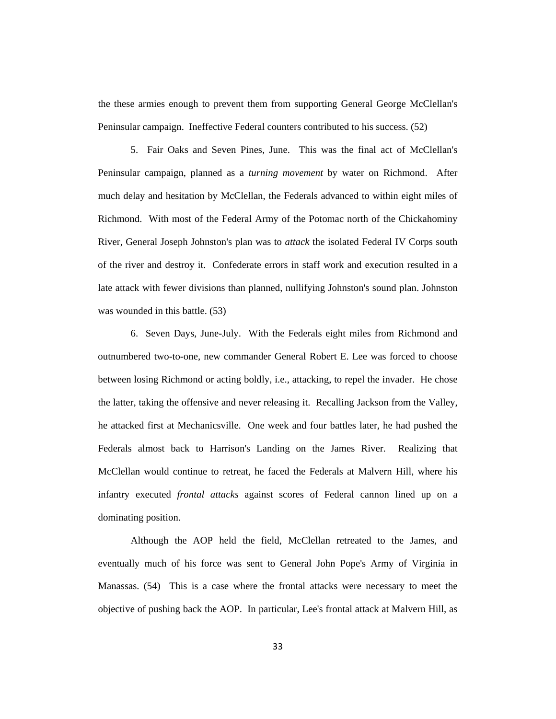the these armies enough to prevent them from supporting General George McClellan's Peninsular campaign. Ineffective Federal counters contributed to his success. (52)

5. Fair Oaks and Seven Pines, June. This was the final act of McClellan's Peninsular campaign, planned as a *turning movement* by water on Richmond. After much delay and hesitation by McClellan, the Federals advanced to within eight miles of Richmond. With most of the Federal Army of the Potomac north of the Chickahominy River, General Joseph Johnston's plan was to *attack* the isolated Federal IV Corps south of the river and destroy it. Confederate errors in staff work and execution resulted in a late attack with fewer divisions than planned, nullifying Johnston's sound plan. Johnston was wounded in this battle. (53)

6. Seven Days, June-July. With the Federals eight miles from Richmond and outnumbered two-to-one, new commander General Robert E. Lee was forced to choose between losing Richmond or acting boldly, i.e., attacking, to repel the invader. He chose the latter, taking the offensive and never releasing it. Recalling Jackson from the Valley, he attacked first at Mechanicsville. One week and four battles later, he had pushed the Federals almost back to Harrison's Landing on the James River. Realizing that McClellan would continue to retreat, he faced the Federals at Malvern Hill, where his infantry executed *frontal attacks* against scores of Federal cannon lined up on a dominating position.

Although the AOP held the field, McClellan retreated to the James, and eventually much of his force was sent to General John Pope's Army of Virginia in Manassas. (54) This is a case where the frontal attacks were necessary to meet the objective of pushing back the AOP. In particular, Lee's frontal attack at Malvern Hill, as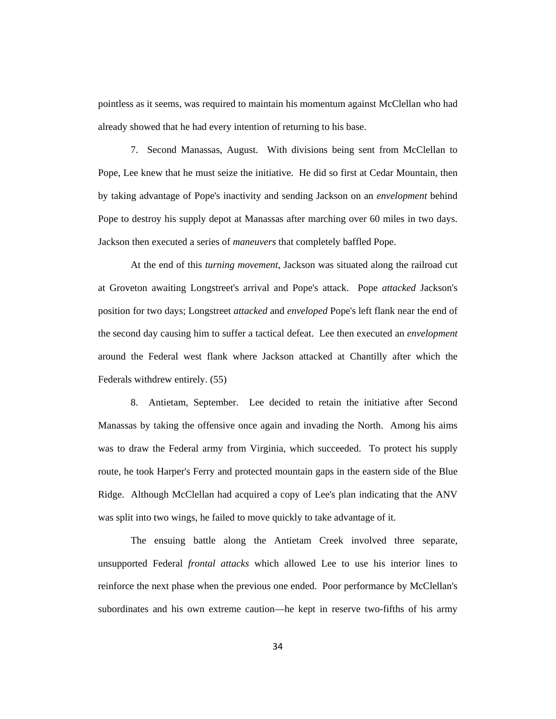pointless as it seems, was required to maintain his momentum against McClellan who had already showed that he had every intention of returning to his base.

7. Second Manassas, August. With divisions being sent from McClellan to Pope, Lee knew that he must seize the initiative. He did so first at Cedar Mountain, then by taking advantage of Pope's inactivity and sending Jackson on an *envelopment* behind Pope to destroy his supply depot at Manassas after marching over 60 miles in two days. Jackson then executed a series of *maneuvers* that completely baffled Pope.

At the end of this *turning movement*, Jackson was situated along the railroad cut at Groveton awaiting Longstreet's arrival and Pope's attack. Pope *attacked* Jackson's position for two days; Longstreet *attacked* and *enveloped* Pope's left flank near the end of the second day causing him to suffer a tactical defeat. Lee then executed an *envelopment* around the Federal west flank where Jackson attacked at Chantilly after which the Federals withdrew entirely. (55)

8. Antietam, September. Lee decided to retain the initiative after Second Manassas by taking the offensive once again and invading the North. Among his aims was to draw the Federal army from Virginia, which succeeded. To protect his supply route, he took Harper's Ferry and protected mountain gaps in the eastern side of the Blue Ridge. Although McClellan had acquired a copy of Lee's plan indicating that the ANV was split into two wings, he failed to move quickly to take advantage of it.

The ensuing battle along the Antietam Creek involved three separate, unsupported Federal *frontal attacks* which allowed Lee to use his interior lines to reinforce the next phase when the previous one ended. Poor performance by McClellan's subordinates and his own extreme caution—he kept in reserve two-fifths of his army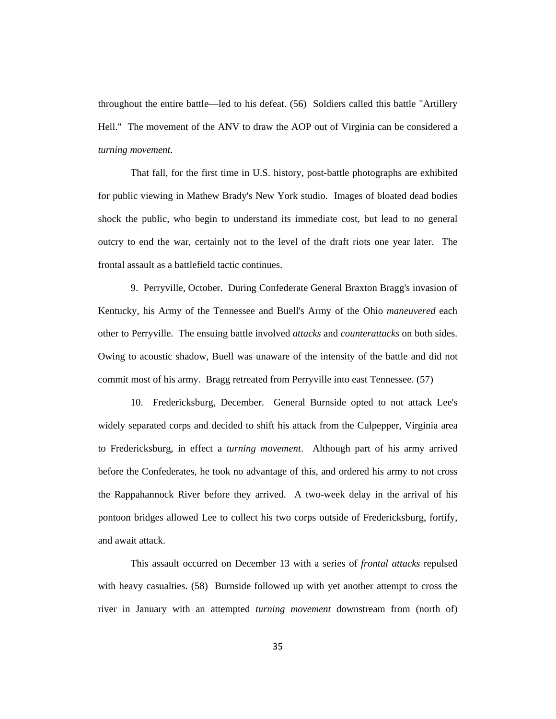throughout the entire battle—led to his defeat. (56) Soldiers called this battle "Artillery Hell." The movement of the ANV to draw the AOP out of Virginia can be considered a *turning movement*.

That fall, for the first time in U.S. history, post-battle photographs are exhibited for public viewing in Mathew Brady's New York studio. Images of bloated dead bodies shock the public, who begin to understand its immediate cost, but lead to no general outcry to end the war, certainly not to the level of the draft riots one year later. The frontal assault as a battlefield tactic continues.

9. Perryville, October. During Confederate General Braxton Bragg's invasion of Kentucky, his Army of the Tennessee and Buell's Army of the Ohio *maneuvered* each other to Perryville. The ensuing battle involved *attacks* and *counterattacks* on both sides. Owing to acoustic shadow, Buell was unaware of the intensity of the battle and did not commit most of his army. Bragg retreated from Perryville into east Tennessee. (57)

10. Fredericksburg, December. General Burnside opted to not attack Lee's widely separated corps and decided to shift his attack from the Culpepper, Virginia area to Fredericksburg, in effect a *turning movement*. Although part of his army arrived before the Confederates, he took no advantage of this, and ordered his army to not cross the Rappahannock River before they arrived. A two-week delay in the arrival of his pontoon bridges allowed Lee to collect his two corps outside of Fredericksburg, fortify, and await attack.

This assault occurred on December 13 with a series of *frontal attacks* repulsed with heavy casualties. (58) Burnside followed up with yet another attempt to cross the river in January with an attempted *turning movement* downstream from (north of)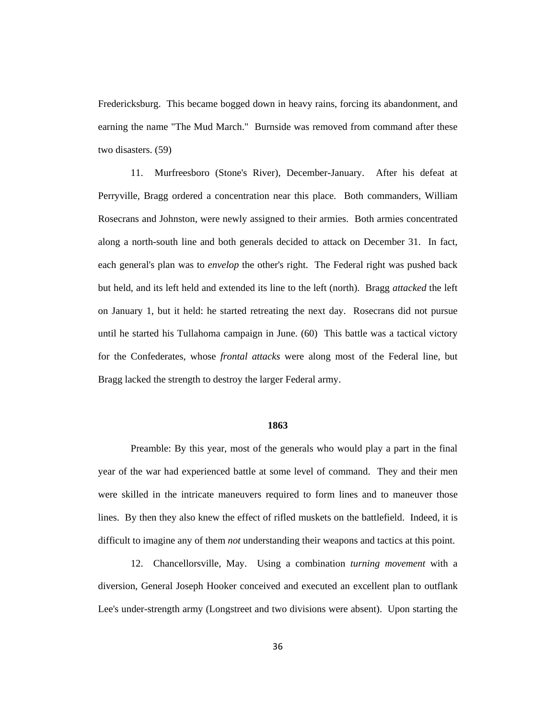Fredericksburg. This became bogged down in heavy rains, forcing its abandonment, and earning the name "The Mud March." Burnside was removed from command after these two disasters. (59)

11. Murfreesboro (Stone's River), December-January. After his defeat at Perryville, Bragg ordered a concentration near this place. Both commanders, William Rosecrans and Johnston, were newly assigned to their armies. Both armies concentrated along a north-south line and both generals decided to attack on December 31. In fact, each general's plan was to *envelop* the other's right. The Federal right was pushed back but held, and its left held and extended its line to the left (north). Bragg *attacked* the left on January 1, but it held: he started retreating the next day. Rosecrans did not pursue until he started his Tullahoma campaign in June. (60) This battle was a tactical victory for the Confederates, whose *frontal attacks* were along most of the Federal line, but Bragg lacked the strength to destroy the larger Federal army.

## **1863**

Preamble: By this year, most of the generals who would play a part in the final year of the war had experienced battle at some level of command. They and their men were skilled in the intricate maneuvers required to form lines and to maneuver those lines. By then they also knew the effect of rifled muskets on the battlefield. Indeed, it is difficult to imagine any of them *not* understanding their weapons and tactics at this point.

12. Chancellorsville, May. Using a combination *turning movement* with a diversion, General Joseph Hooker conceived and executed an excellent plan to outflank Lee's under-strength army (Longstreet and two divisions were absent). Upon starting the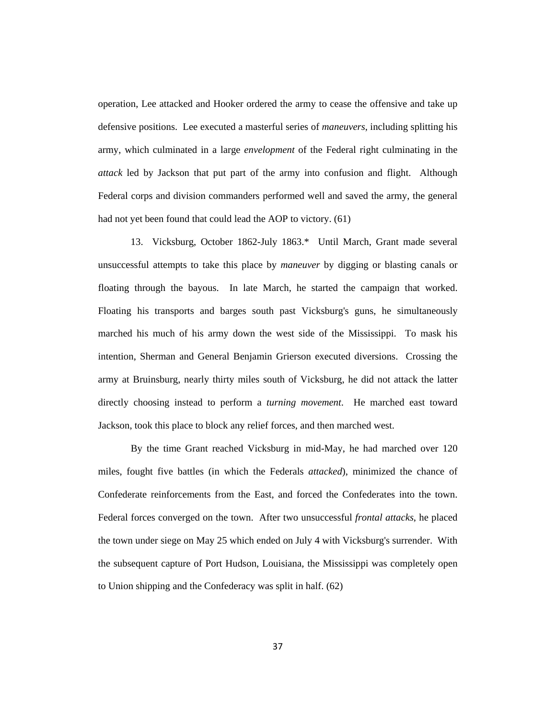operation, Lee attacked and Hooker ordered the army to cease the offensive and take up defensive positions. Lee executed a masterful series of *maneuvers*, including splitting his army, which culminated in a large *envelopment* of the Federal right culminating in the *attack* led by Jackson that put part of the army into confusion and flight. Although Federal corps and division commanders performed well and saved the army, the general had not yet been found that could lead the AOP to victory. (61)

13. Vicksburg, October 1862-July 1863.\* Until March, Grant made several unsuccessful attempts to take this place by *maneuver* by digging or blasting canals or floating through the bayous. In late March, he started the campaign that worked. Floating his transports and barges south past Vicksburg's guns, he simultaneously marched his much of his army down the west side of the Mississippi. To mask his intention, Sherman and General Benjamin Grierson executed diversions. Crossing the army at Bruinsburg, nearly thirty miles south of Vicksburg, he did not attack the latter directly choosing instead to perform a *turning movement*. He marched east toward Jackson, took this place to block any relief forces, and then marched west.

By the time Grant reached Vicksburg in mid-May, he had marched over 120 miles, fought five battles (in which the Federals *attacked*), minimized the chance of Confederate reinforcements from the East, and forced the Confederates into the town. Federal forces converged on the town. After two unsuccessful *frontal attacks*, he placed the town under siege on May 25 which ended on July 4 with Vicksburg's surrender. With the subsequent capture of Port Hudson, Louisiana, the Mississippi was completely open to Union shipping and the Confederacy was split in half. (62)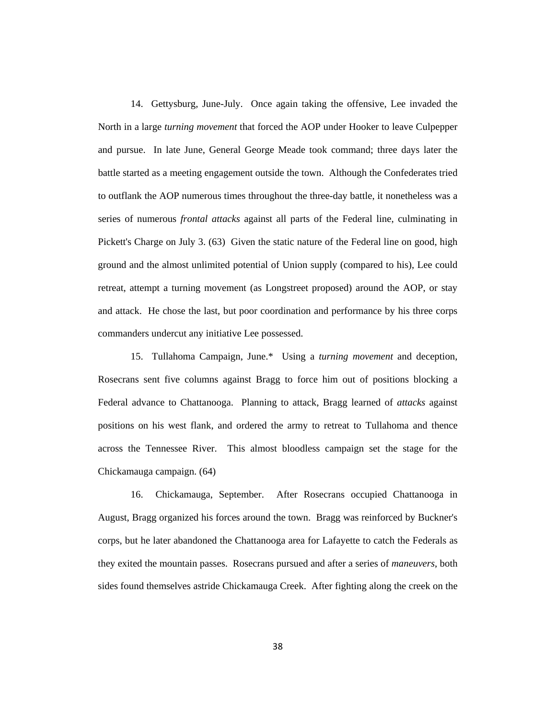14. Gettysburg, June-July. Once again taking the offensive, Lee invaded the North in a large *turning movement* that forced the AOP under Hooker to leave Culpepper and pursue. In late June, General George Meade took command; three days later the battle started as a meeting engagement outside the town. Although the Confederates tried to outflank the AOP numerous times throughout the three-day battle, it nonetheless was a series of numerous *frontal attacks* against all parts of the Federal line, culminating in Pickett's Charge on July 3. (63) Given the static nature of the Federal line on good, high ground and the almost unlimited potential of Union supply (compared to his), Lee could retreat, attempt a turning movement (as Longstreet proposed) around the AOP, or stay and attack. He chose the last, but poor coordination and performance by his three corps commanders undercut any initiative Lee possessed.

15. Tullahoma Campaign, June.\* Using a *turning movement* and deception, Rosecrans sent five columns against Bragg to force him out of positions blocking a Federal advance to Chattanooga. Planning to attack, Bragg learned of *attacks* against positions on his west flank, and ordered the army to retreat to Tullahoma and thence across the Tennessee River. This almost bloodless campaign set the stage for the Chickamauga campaign. (64)

16. Chickamauga, September. After Rosecrans occupied Chattanooga in August, Bragg organized his forces around the town. Bragg was reinforced by Buckner's corps, but he later abandoned the Chattanooga area for Lafayette to catch the Federals as they exited the mountain passes. Rosecrans pursued and after a series of *maneuvers*, both sides found themselves astride Chickamauga Creek. After fighting along the creek on the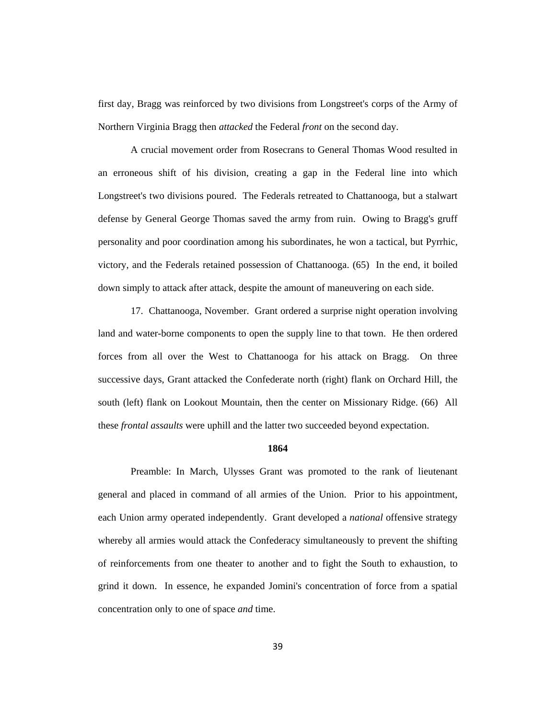first day, Bragg was reinforced by two divisions from Longstreet's corps of the Army of Northern Virginia Bragg then *attacked* the Federal *front* on the second day.

A crucial movement order from Rosecrans to General Thomas Wood resulted in an erroneous shift of his division, creating a gap in the Federal line into which Longstreet's two divisions poured. The Federals retreated to Chattanooga, but a stalwart defense by General George Thomas saved the army from ruin. Owing to Bragg's gruff personality and poor coordination among his subordinates, he won a tactical, but Pyrrhic, victory, and the Federals retained possession of Chattanooga. (65) In the end, it boiled down simply to attack after attack, despite the amount of maneuvering on each side.

17. Chattanooga, November. Grant ordered a surprise night operation involving land and water-borne components to open the supply line to that town. He then ordered forces from all over the West to Chattanooga for his attack on Bragg. On three successive days, Grant attacked the Confederate north (right) flank on Orchard Hill, the south (left) flank on Lookout Mountain, then the center on Missionary Ridge. (66) All these *frontal assaults* were uphill and the latter two succeeded beyond expectation.

#### **1864**

Preamble: In March, Ulysses Grant was promoted to the rank of lieutenant general and placed in command of all armies of the Union. Prior to his appointment, each Union army operated independently. Grant developed a *national* offensive strategy whereby all armies would attack the Confederacy simultaneously to prevent the shifting of reinforcements from one theater to another and to fight the South to exhaustion, to grind it down. In essence, he expanded Jomini's concentration of force from a spatial concentration only to one of space *and* time.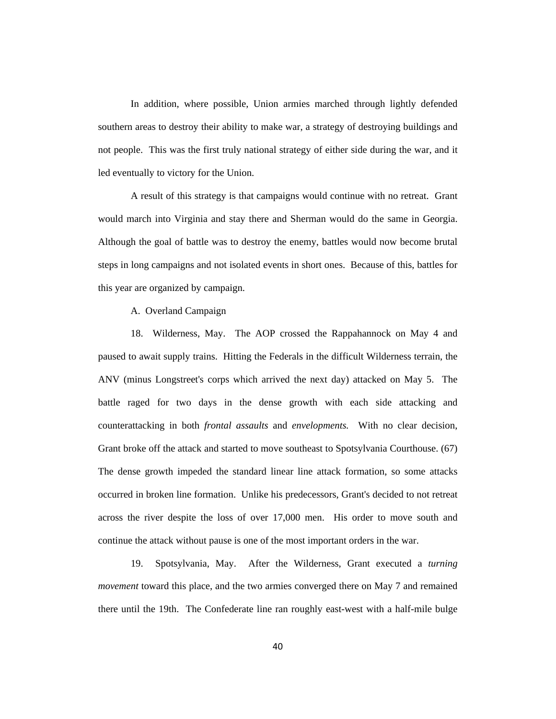In addition, where possible, Union armies marched through lightly defended southern areas to destroy their ability to make war, a strategy of destroying buildings and not people. This was the first truly national strategy of either side during the war, and it led eventually to victory for the Union.

A result of this strategy is that campaigns would continue with no retreat. Grant would march into Virginia and stay there and Sherman would do the same in Georgia. Although the goal of battle was to destroy the enemy, battles would now become brutal steps in long campaigns and not isolated events in short ones. Because of this, battles for this year are organized by campaign.

A. Overland Campaign

18. Wilderness, May. The AOP crossed the Rappahannock on May 4 and paused to await supply trains. Hitting the Federals in the difficult Wilderness terrain, the ANV (minus Longstreet's corps which arrived the next day) attacked on May 5. The battle raged for two days in the dense growth with each side attacking and counterattacking in both *frontal assaults* and *envelopments.* With no clear decision, Grant broke off the attack and started to move southeast to Spotsylvania Courthouse. (67) The dense growth impeded the standard linear line attack formation, so some attacks occurred in broken line formation. Unlike his predecessors, Grant's decided to not retreat across the river despite the loss of over 17,000 men. His order to move south and continue the attack without pause is one of the most important orders in the war.

19. Spotsylvania, May. After the Wilderness, Grant executed a *turning movement* toward this place, and the two armies converged there on May 7 and remained there until the 19th. The Confederate line ran roughly east-west with a half-mile bulge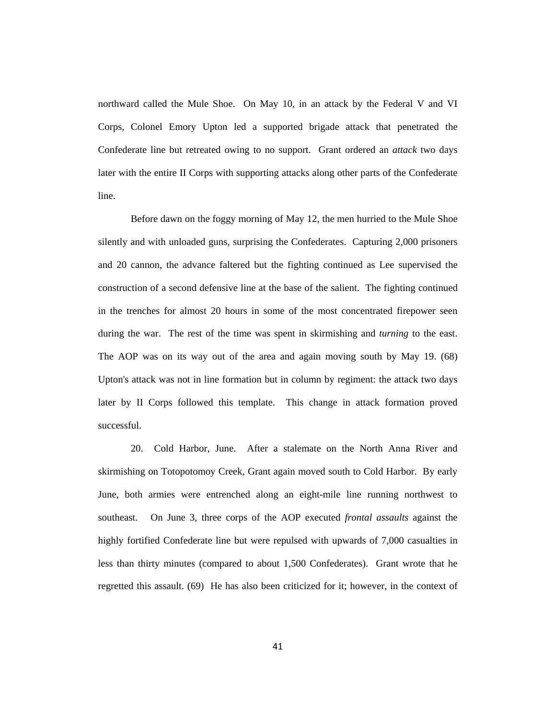northward called the Mule Shoe. On May 10, in an attack by the Federal V and VI Corps, Colonel Emory Upton led a supported brigade attack that penetrated the Confederate line but retreated owing to no support. Grant ordered an *attack* two days later with the entire II Corps with supporting attacks along other parts of the Confederate line.

Before dawn on the foggy morning of May 12, the men hurried to the Mule Shoe silently and with unloaded guns, surprising the Confederates. Capturing 2,000 prisoners and 20 cannon, the advance faltered but the fighting continued as Lee supervised the construction of a second defensive line at the base of the salient. The fighting continued in the trenches for almost 20 hours in some of the most concentrated firepower seen during the war. The rest of the time was spent in skirmishing and *turning* to the east. The AOP was on its way out of the area and again moving south by May 19. (68) Upton's attack was not in line formation but in column by regiment: the attack two days later by II Corps followed this template. This change in attack formation proved successful.

20. Cold Harbor, June. After a stalemate on the North Anna River and skirmishing on Totopotomoy Creek, Grant again moved south to Cold Harbor. By early June, both armies were entrenched along an eight-mile line running northwest to southeast. On June 3, three corps of the AOP executed *frontal assaults* against the highly fortified Confederate line but were repulsed with upwards of 7,000 casualties in less than thirty minutes (compared to about 1,500 Confederates). Grant wrote that he regretted this assault. (69) He has also been criticized for it; however, in the context of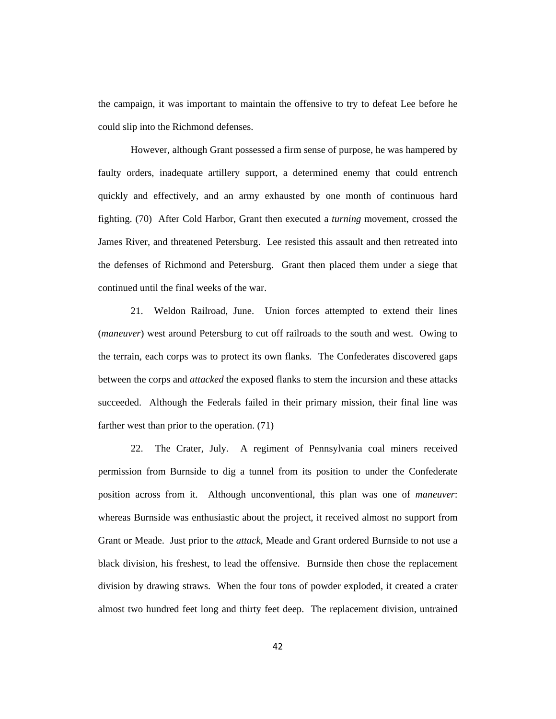the campaign, it was important to maintain the offensive to try to defeat Lee before he could slip into the Richmond defenses.

However, although Grant possessed a firm sense of purpose, he was hampered by faulty orders, inadequate artillery support, a determined enemy that could entrench quickly and effectively, and an army exhausted by one month of continuous hard fighting. (70) After Cold Harbor, Grant then executed a *turning* movement, crossed the James River, and threatened Petersburg. Lee resisted this assault and then retreated into the defenses of Richmond and Petersburg. Grant then placed them under a siege that continued until the final weeks of the war.

21. Weldon Railroad, June. Union forces attempted to extend their lines (*maneuver*) west around Petersburg to cut off railroads to the south and west. Owing to the terrain, each corps was to protect its own flanks. The Confederates discovered gaps between the corps and *attacked* the exposed flanks to stem the incursion and these attacks succeeded. Although the Federals failed in their primary mission, their final line was farther west than prior to the operation. (71)

22. The Crater, July. A regiment of Pennsylvania coal miners received permission from Burnside to dig a tunnel from its position to under the Confederate position across from it. Although unconventional, this plan was one of *maneuver*: whereas Burnside was enthusiastic about the project, it received almost no support from Grant or Meade. Just prior to the *attack*, Meade and Grant ordered Burnside to not use a black division, his freshest, to lead the offensive. Burnside then chose the replacement division by drawing straws. When the four tons of powder exploded, it created a crater almost two hundred feet long and thirty feet deep. The replacement division, untrained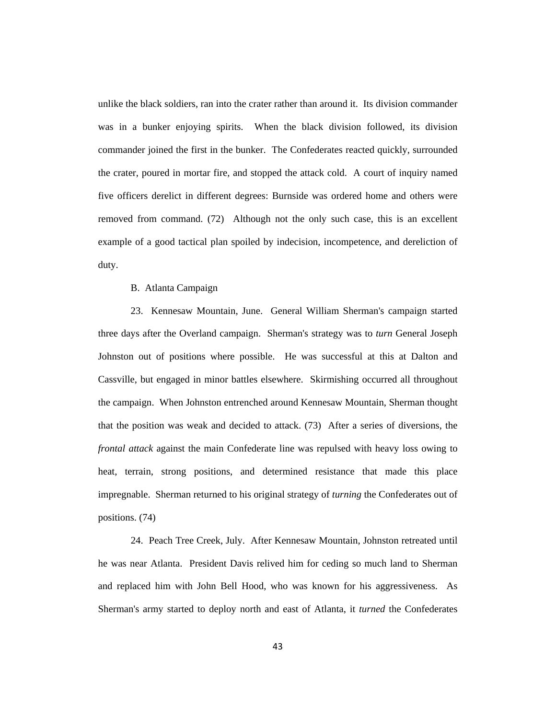unlike the black soldiers, ran into the crater rather than around it. Its division commander was in a bunker enjoying spirits. When the black division followed, its division commander joined the first in the bunker. The Confederates reacted quickly, surrounded the crater, poured in mortar fire, and stopped the attack cold. A court of inquiry named five officers derelict in different degrees: Burnside was ordered home and others were removed from command. (72) Although not the only such case, this is an excellent example of a good tactical plan spoiled by indecision, incompetence, and dereliction of duty.

#### B. Atlanta Campaign

23. Kennesaw Mountain, June. General William Sherman's campaign started three days after the Overland campaign. Sherman's strategy was to *turn* General Joseph Johnston out of positions where possible. He was successful at this at Dalton and Cassville, but engaged in minor battles elsewhere. Skirmishing occurred all throughout the campaign. When Johnston entrenched around Kennesaw Mountain, Sherman thought that the position was weak and decided to attack. (73) After a series of diversions, the *frontal attack* against the main Confederate line was repulsed with heavy loss owing to heat, terrain, strong positions, and determined resistance that made this place impregnable. Sherman returned to his original strategy of *turning* the Confederates out of positions. (74)

24. Peach Tree Creek, July. After Kennesaw Mountain, Johnston retreated until he was near Atlanta. President Davis relived him for ceding so much land to Sherman and replaced him with John Bell Hood, who was known for his aggressiveness. As Sherman's army started to deploy north and east of Atlanta, it *turned* the Confederates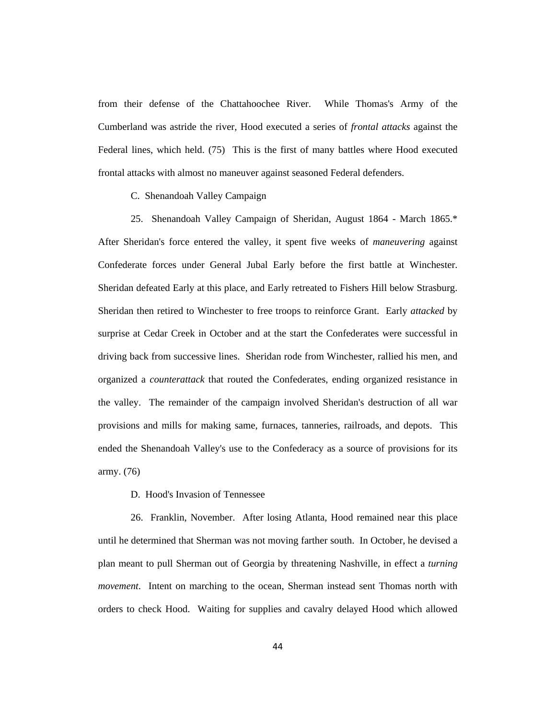from their defense of the Chattahoochee River. While Thomas's Army of the Cumberland was astride the river, Hood executed a series of *frontal attacks* against the Federal lines, which held. (75) This is the first of many battles where Hood executed frontal attacks with almost no maneuver against seasoned Federal defenders.

C. Shenandoah Valley Campaign

25. Shenandoah Valley Campaign of Sheridan, August 1864 - March 1865.\* After Sheridan's force entered the valley, it spent five weeks of *maneuvering* against Confederate forces under General Jubal Early before the first battle at Winchester. Sheridan defeated Early at this place, and Early retreated to Fishers Hill below Strasburg. Sheridan then retired to Winchester to free troops to reinforce Grant. Early *attacked* by surprise at Cedar Creek in October and at the start the Confederates were successful in driving back from successive lines. Sheridan rode from Winchester, rallied his men, and organized a *counterattack* that routed the Confederates, ending organized resistance in the valley. The remainder of the campaign involved Sheridan's destruction of all war provisions and mills for making same, furnaces, tanneries, railroads, and depots. This ended the Shenandoah Valley's use to the Confederacy as a source of provisions for its army. (76)

D. Hood's Invasion of Tennessee

26. Franklin, November. After losing Atlanta, Hood remained near this place until he determined that Sherman was not moving farther south. In October, he devised a plan meant to pull Sherman out of Georgia by threatening Nashville, in effect a *turning movement*. Intent on marching to the ocean, Sherman instead sent Thomas north with orders to check Hood. Waiting for supplies and cavalry delayed Hood which allowed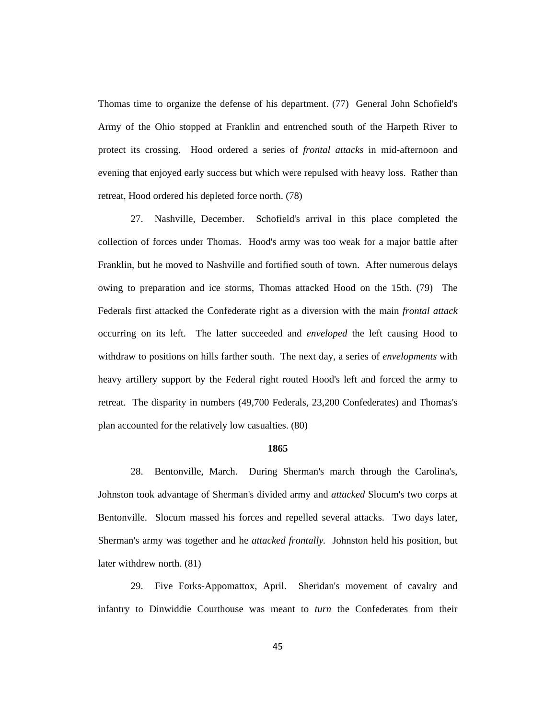Thomas time to organize the defense of his department. (77) General John Schofield's Army of the Ohio stopped at Franklin and entrenched south of the Harpeth River to protect its crossing. Hood ordered a series of *frontal attacks* in mid-afternoon and evening that enjoyed early success but which were repulsed with heavy loss. Rather than retreat, Hood ordered his depleted force north. (78)

27. Nashville, December. Schofield's arrival in this place completed the collection of forces under Thomas. Hood's army was too weak for a major battle after Franklin, but he moved to Nashville and fortified south of town. After numerous delays owing to preparation and ice storms, Thomas attacked Hood on the 15th. (79) The Federals first attacked the Confederate right as a diversion with the main *frontal attack* occurring on its left. The latter succeeded and *enveloped* the left causing Hood to withdraw to positions on hills farther south. The next day, a series of *envelopments* with heavy artillery support by the Federal right routed Hood's left and forced the army to retreat. The disparity in numbers (49,700 Federals, 23,200 Confederates) and Thomas's plan accounted for the relatively low casualties. (80)

## **1865**

28. Bentonville, March. During Sherman's march through the Carolina's, Johnston took advantage of Sherman's divided army and *attacked* Slocum's two corps at Bentonville. Slocum massed his forces and repelled several attacks. Two days later, Sherman's army was together and he *attacked frontally.* Johnston held his position, but later withdrew north. (81)

29. Five Forks-Appomattox, April. Sheridan's movement of cavalry and infantry to Dinwiddie Courthouse was meant to *turn* the Confederates from their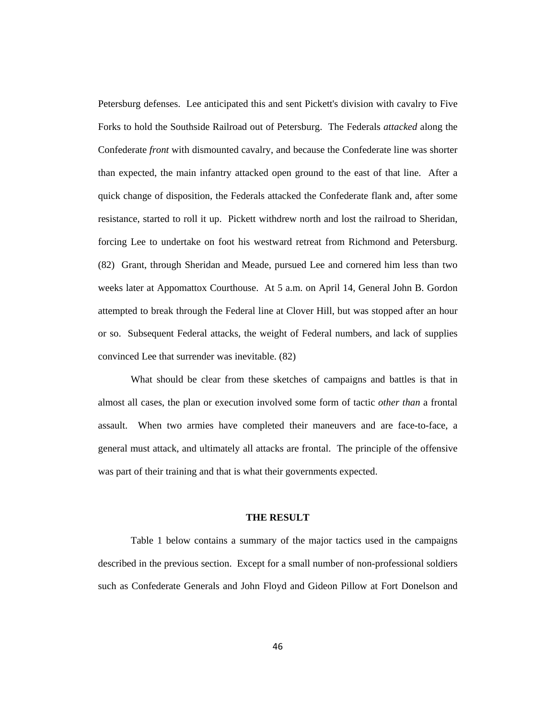Petersburg defenses. Lee anticipated this and sent Pickett's division with cavalry to Five Forks to hold the Southside Railroad out of Petersburg. The Federals *attacked* along the Confederate *front* with dismounted cavalry, and because the Confederate line was shorter than expected, the main infantry attacked open ground to the east of that line. After a quick change of disposition, the Federals attacked the Confederate flank and, after some resistance, started to roll it up. Pickett withdrew north and lost the railroad to Sheridan, forcing Lee to undertake on foot his westward retreat from Richmond and Petersburg. (82) Grant, through Sheridan and Meade, pursued Lee and cornered him less than two weeks later at Appomattox Courthouse. At 5 a.m. on April 14, General John B. Gordon attempted to break through the Federal line at Clover Hill, but was stopped after an hour or so. Subsequent Federal attacks, the weight of Federal numbers, and lack of supplies convinced Lee that surrender was inevitable. (82)

What should be clear from these sketches of campaigns and battles is that in almost all cases, the plan or execution involved some form of tactic *other than* a frontal assault. When two armies have completed their maneuvers and are face-to-face, a general must attack, and ultimately all attacks are frontal. The principle of the offensive was part of their training and that is what their governments expected.

#### **THE RESULT**

Table 1 below contains a summary of the major tactics used in the campaigns described in the previous section. Except for a small number of non-professional soldiers such as Confederate Generals and John Floyd and Gideon Pillow at Fort Donelson and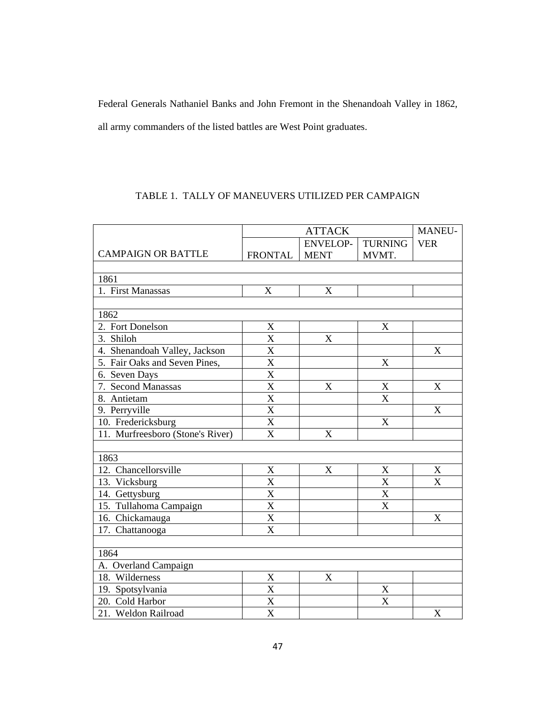Federal Generals Nathaniel Banks and John Fremont in the Shenandoah Valley in 1862, all army commanders of the listed battles are West Point graduates.

## TABLE 1. TALLY OF MANEUVERS UTILIZED PER CAMPAIGN

|                                  | <b>ATTACK</b>         |                           |                           | MANEU-                    |
|----------------------------------|-----------------------|---------------------------|---------------------------|---------------------------|
|                                  |                       | <b>ENVELOP-</b>           | <b>TURNING</b>            | <b>VER</b>                |
| <b>CAMPAIGN OR BATTLE</b>        | <b>FRONTAL</b>        | <b>MENT</b>               | MVMT.                     |                           |
|                                  |                       |                           |                           |                           |
| 1861                             |                       |                           |                           |                           |
| 1. First Manassas                | X                     | X                         |                           |                           |
|                                  |                       |                           |                           |                           |
| 1862                             |                       |                           |                           |                           |
| 2. Fort Donelson                 | X                     |                           | $\mathbf X$               |                           |
| 3. Shiloh                        | $\overline{\text{X}}$ | X                         |                           |                           |
| 4. Shenandoah Valley, Jackson    | $\overline{\text{X}}$ |                           |                           | $\boldsymbol{\mathrm{X}}$ |
| 5. Fair Oaks and Seven Pines,    | $\overline{\text{X}}$ |                           | $\mathbf X$               |                           |
| 6. Seven Days                    | $\overline{\text{X}}$ |                           |                           |                           |
| 7. Second Manassas               | $\overline{\text{X}}$ | $\boldsymbol{\mathrm{X}}$ | $\mathbf X$               | $\boldsymbol{\mathrm{X}}$ |
| 8. Antietam                      | $\overline{\text{X}}$ |                           | $\overline{\text{X}}$     |                           |
| 9. Perryville                    | $\overline{\text{X}}$ |                           |                           | $\mathbf X$               |
| 10. Fredericksburg               | $\overline{\text{X}}$ |                           | $\mathbf X$               |                           |
| 11. Murfreesboro (Stone's River) | $\overline{\text{X}}$ | $\boldsymbol{\mathrm{X}}$ |                           |                           |
|                                  |                       |                           |                           |                           |
| 1863                             |                       |                           |                           |                           |
| 12. Chancellorsville             | $\boldsymbol{X}$      | $\mathbf X$               | X                         | X                         |
| 13. Vicksburg                    | $\overline{\text{X}}$ |                           | $\overline{\text{X}}$     | X                         |
| $\overline{14.}$ Gettysburg      | $\overline{\text{X}}$ |                           | X                         |                           |
| 15. Tullahoma Campaign           | X                     |                           | $\boldsymbol{\mathrm{X}}$ |                           |
| 16. Chickamauga                  | X                     |                           |                           | $\mathbf X$               |
| 17. Chattanooga                  | X                     |                           |                           |                           |
|                                  |                       |                           |                           |                           |
| 1864                             |                       |                           |                           |                           |
| A. Overland Campaign             |                       |                           |                           |                           |
| 18. Wilderness                   | X                     | X                         |                           |                           |
| 19. Spotsylvania                 | X                     |                           | $\mathbf X$               |                           |
| 20. Cold Harbor                  | X                     |                           | X                         |                           |
| 21. Weldon Railroad              | $\overline{\text{X}}$ |                           |                           | $\boldsymbol{\mathrm{X}}$ |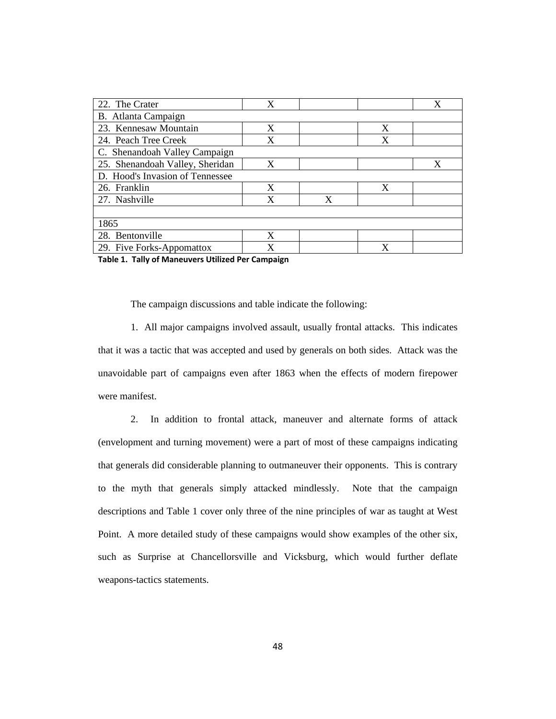| 22. The Crater                  | X |   |   | X |
|---------------------------------|---|---|---|---|
| B. Atlanta Campaign             |   |   |   |   |
| 23. Kennesaw Mountain           | X |   | X |   |
| 24. Peach Tree Creek            | X |   | X |   |
| C. Shenandoah Valley Campaign   |   |   |   |   |
| 25. Shenandoah Valley, Sheridan | X |   |   | X |
| D. Hood's Invasion of Tennessee |   |   |   |   |
| 26. Franklin                    | X |   | X |   |
| 27. Nashville                   | X | X |   |   |
|                                 |   |   |   |   |
| 1865                            |   |   |   |   |
| 28. Bentonville                 | X |   |   |   |
| 29. Five Forks-Appomattox       | X |   | X |   |

**Table 1. Tally of Maneuvers Utilized Per Campaign**

The campaign discussions and table indicate the following:

1. All major campaigns involved assault, usually frontal attacks. This indicates that it was a tactic that was accepted and used by generals on both sides. Attack was the unavoidable part of campaigns even after 1863 when the effects of modern firepower were manifest.

2. In addition to frontal attack, maneuver and alternate forms of attack (envelopment and turning movement) were a part of most of these campaigns indicating that generals did considerable planning to outmaneuver their opponents. This is contrary to the myth that generals simply attacked mindlessly. Note that the campaign descriptions and Table 1 cover only three of the nine principles of war as taught at West Point. A more detailed study of these campaigns would show examples of the other six, such as Surprise at Chancellorsville and Vicksburg, which would further deflate weapons-tactics statements.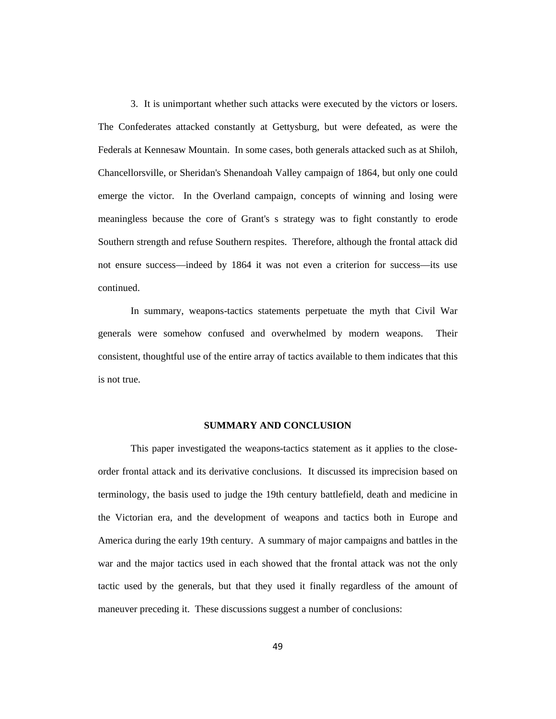3. It is unimportant whether such attacks were executed by the victors or losers. The Confederates attacked constantly at Gettysburg, but were defeated, as were the Federals at Kennesaw Mountain. In some cases, both generals attacked such as at Shiloh, Chancellorsville, or Sheridan's Shenandoah Valley campaign of 1864, but only one could emerge the victor. In the Overland campaign, concepts of winning and losing were meaningless because the core of Grant's s strategy was to fight constantly to erode Southern strength and refuse Southern respites. Therefore, although the frontal attack did not ensure success—indeed by 1864 it was not even a criterion for success—its use continued.

In summary, weapons-tactics statements perpetuate the myth that Civil War generals were somehow confused and overwhelmed by modern weapons. Their consistent, thoughtful use of the entire array of tactics available to them indicates that this is not true.

## **SUMMARY AND CONCLUSION**

This paper investigated the weapons-tactics statement as it applies to the closeorder frontal attack and its derivative conclusions. It discussed its imprecision based on terminology, the basis used to judge the 19th century battlefield, death and medicine in the Victorian era, and the development of weapons and tactics both in Europe and America during the early 19th century. A summary of major campaigns and battles in the war and the major tactics used in each showed that the frontal attack was not the only tactic used by the generals, but that they used it finally regardless of the amount of maneuver preceding it. These discussions suggest a number of conclusions: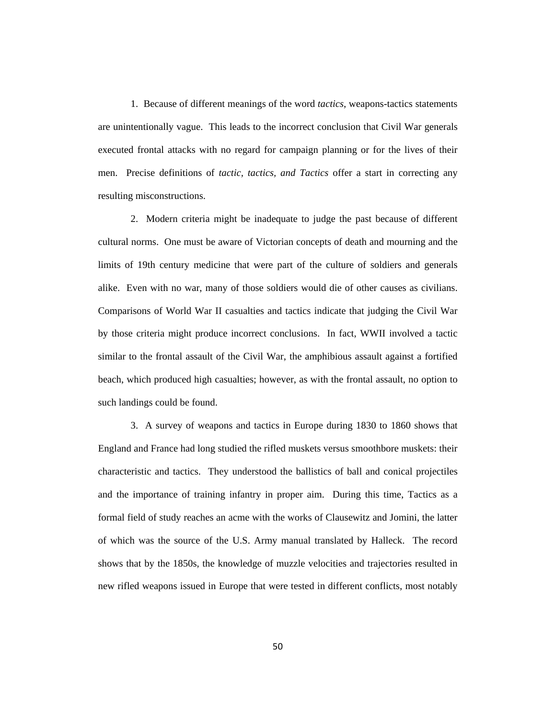1. Because of different meanings of the word *tactics*, weapons-tactics statements are unintentionally vague. This leads to the incorrect conclusion that Civil War generals executed frontal attacks with no regard for campaign planning or for the lives of their men. Precise definitions of *tactic, tactics, and Tactics* offer a start in correcting any resulting misconstructions.

2. Modern criteria might be inadequate to judge the past because of different cultural norms. One must be aware of Victorian concepts of death and mourning and the limits of 19th century medicine that were part of the culture of soldiers and generals alike. Even with no war, many of those soldiers would die of other causes as civilians. Comparisons of World War II casualties and tactics indicate that judging the Civil War by those criteria might produce incorrect conclusions. In fact, WWII involved a tactic similar to the frontal assault of the Civil War, the amphibious assault against a fortified beach, which produced high casualties; however, as with the frontal assault, no option to such landings could be found.

3. A survey of weapons and tactics in Europe during 1830 to 1860 shows that England and France had long studied the rifled muskets versus smoothbore muskets: their characteristic and tactics. They understood the ballistics of ball and conical projectiles and the importance of training infantry in proper aim. During this time, Tactics as a formal field of study reaches an acme with the works of Clausewitz and Jomini, the latter of which was the source of the U.S. Army manual translated by Halleck. The record shows that by the 1850s, the knowledge of muzzle velocities and trajectories resulted in new rifled weapons issued in Europe that were tested in different conflicts, most notably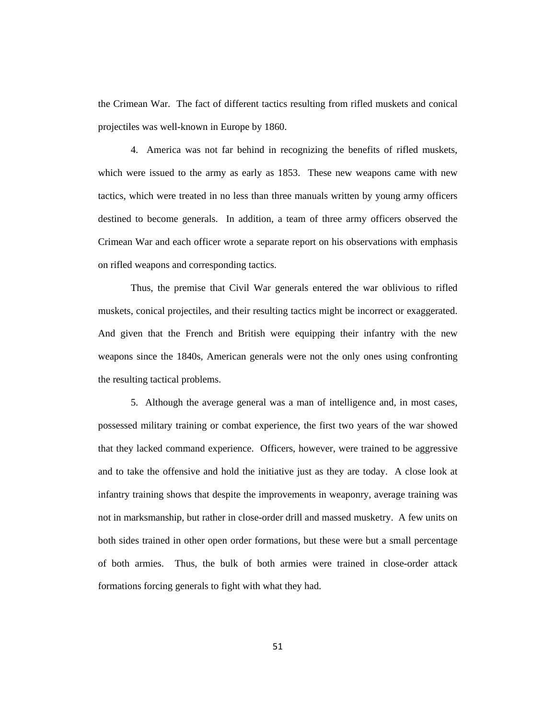the Crimean War. The fact of different tactics resulting from rifled muskets and conical projectiles was well-known in Europe by 1860.

4. America was not far behind in recognizing the benefits of rifled muskets, which were issued to the army as early as 1853. These new weapons came with new tactics, which were treated in no less than three manuals written by young army officers destined to become generals. In addition, a team of three army officers observed the Crimean War and each officer wrote a separate report on his observations with emphasis on rifled weapons and corresponding tactics.

Thus, the premise that Civil War generals entered the war oblivious to rifled muskets, conical projectiles, and their resulting tactics might be incorrect or exaggerated. And given that the French and British were equipping their infantry with the new weapons since the 1840s, American generals were not the only ones using confronting the resulting tactical problems.

5. Although the average general was a man of intelligence and, in most cases, possessed military training or combat experience, the first two years of the war showed that they lacked command experience. Officers, however, were trained to be aggressive and to take the offensive and hold the initiative just as they are today. A close look at infantry training shows that despite the improvements in weaponry, average training was not in marksmanship, but rather in close-order drill and massed musketry. A few units on both sides trained in other open order formations, but these were but a small percentage of both armies. Thus, the bulk of both armies were trained in close-order attack formations forcing generals to fight with what they had.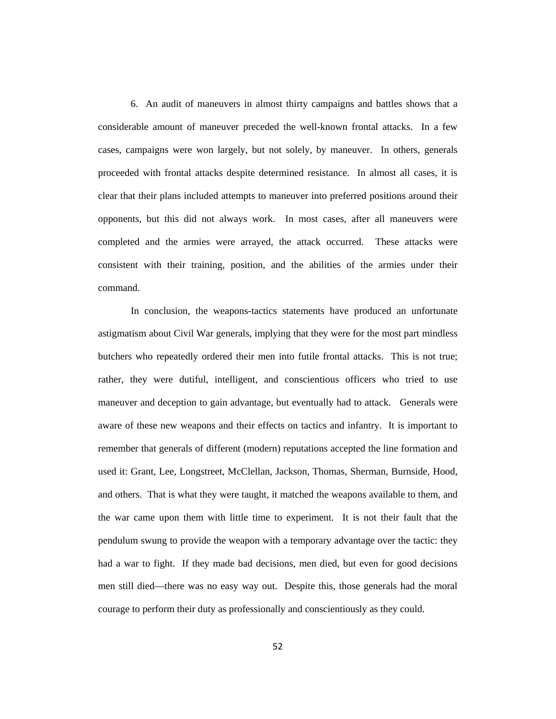6. An audit of maneuvers in almost thirty campaigns and battles shows that a considerable amount of maneuver preceded the well-known frontal attacks. In a few cases, campaigns were won largely, but not solely, by maneuver. In others, generals proceeded with frontal attacks despite determined resistance. In almost all cases, it is clear that their plans included attempts to maneuver into preferred positions around their opponents, but this did not always work. In most cases, after all maneuvers were completed and the armies were arrayed, the attack occurred. These attacks were consistent with their training, position, and the abilities of the armies under their command.

In conclusion, the weapons-tactics statements have produced an unfortunate astigmatism about Civil War generals, implying that they were for the most part mindless butchers who repeatedly ordered their men into futile frontal attacks. This is not true; rather, they were dutiful, intelligent, and conscientious officers who tried to use maneuver and deception to gain advantage, but eventually had to attack. Generals were aware of these new weapons and their effects on tactics and infantry. It is important to remember that generals of different (modern) reputations accepted the line formation and used it: Grant, Lee, Longstreet, McClellan, Jackson, Thomas, Sherman, Burnside, Hood, and others. That is what they were taught, it matched the weapons available to them, and the war came upon them with little time to experiment. It is not their fault that the pendulum swung to provide the weapon with a temporary advantage over the tactic: they had a war to fight. If they made bad decisions, men died, but even for good decisions men still died—there was no easy way out. Despite this, those generals had the moral courage to perform their duty as professionally and conscientiously as they could.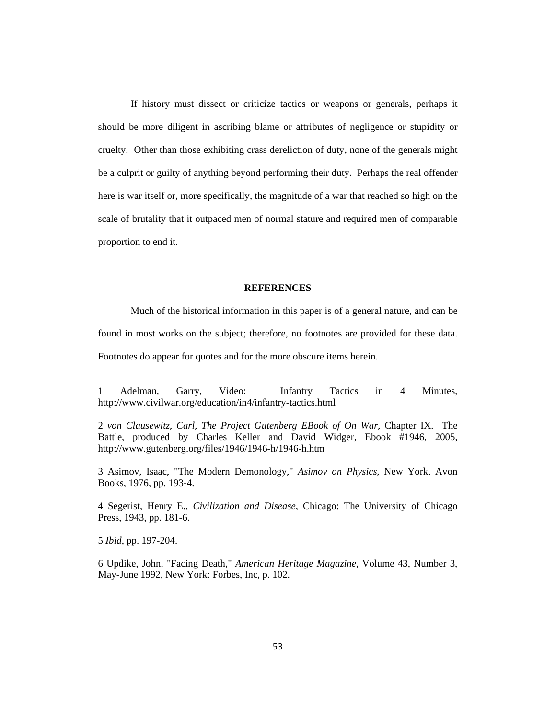If history must dissect or criticize tactics or weapons or generals, perhaps it should be more diligent in ascribing blame or attributes of negligence or stupidity or cruelty. Other than those exhibiting crass dereliction of duty, none of the generals might be a culprit or guilty of anything beyond performing their duty. Perhaps the real offender here is war itself or, more specifically, the magnitude of a war that reached so high on the scale of brutality that it outpaced men of normal stature and required men of comparable proportion to end it.

#### **REFERENCES**

Much of the historical information in this paper is of a general nature, and can be found in most works on the subject; therefore, no footnotes are provided for these data. Footnotes do appear for quotes and for the more obscure items herein.

1 Adelman, Garry, Video: Infantry Tactics in 4 Minutes, http://www.civilwar.org/education/in4/infantry-tactics.html

2 *von Clausewitz, Carl, The Project Gutenberg EBook of On War,* Chapter IX. The Battle, produced by Charles Keller and David Widger, Ebook #1946, 2005, http://www.gutenberg.org/files/1946/1946-h/1946-h.htm

3 Asimov, Isaac, "The Modern Demonology," *Asimov on Physics*, New York, Avon Books, 1976, pp. 193-4.

4 Segerist, Henry E., *Civilization and Disease*, Chicago: The University of Chicago Press, 1943, pp. 181-6.

5 *Ibid*, pp. 197-204.

6 Updike, John, "Facing Death," *American Heritage Magazine*, Volume 43, Number 3, May-June 1992, New York: Forbes, Inc, p. 102.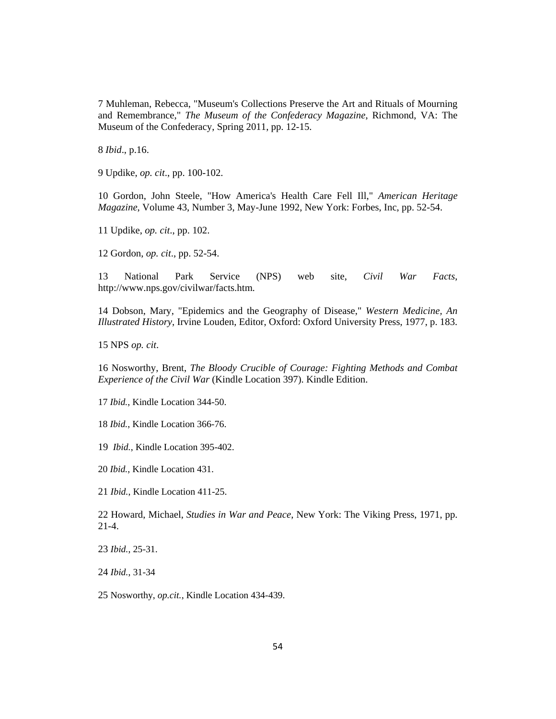Muhleman, Rebecca, "Museum's Collections Preserve the Art and Rituals of Mourning and Remembrance," *The Museum of the Confederacy Magazine*, Richmond, VA: The Museum of the Confederacy, Spring 2011, pp. 12-15.

*Ibid*., p.16.

Updike, *op. cit*., pp. 100-102.

 Gordon, John Steele, "How America's Health Care Fell Ill," *American Heritage Magazine*, Volume 43, Number 3, May-June 1992, New York: Forbes, Inc, pp. 52-54.

Updike, *op. cit*., pp. 102.

Gordon, *op. cit*., pp. 52-54.

 National Park Service (NPS) web site, *Civil War Facts*, http://www.nps.gov/civilwar/facts.htm.

 Dobson, Mary, "Epidemics and the Geography of Disease," *Western Medicine, An Illustrated History*, Irvine Louden, Editor, Oxford: Oxford University Press, 1977, p. 183.

15 NPS *op. cit*.

 Nosworthy, Brent, *The Bloody Crucible of Courage: Fighting Methods and Combat Experience of the Civil War* (Kindle Location 397). Kindle Edition.

*Ibid.*, Kindle Location 344-50.

*Ibid.*, Kindle Location 366-76.

*Ibid.*, Kindle Location 395-402.

*Ibid.*, Kindle Location 431.

*Ibid.*, Kindle Location 411-25.

 Howard, Michael, *Studies in War and Peace*, New York: The Viking Press, 1971, pp. 21-4.

*Ibid.*, 25-31.

*Ibid.*, 31-34

Nosworthy, *op.cit.*, Kindle Location 434-439.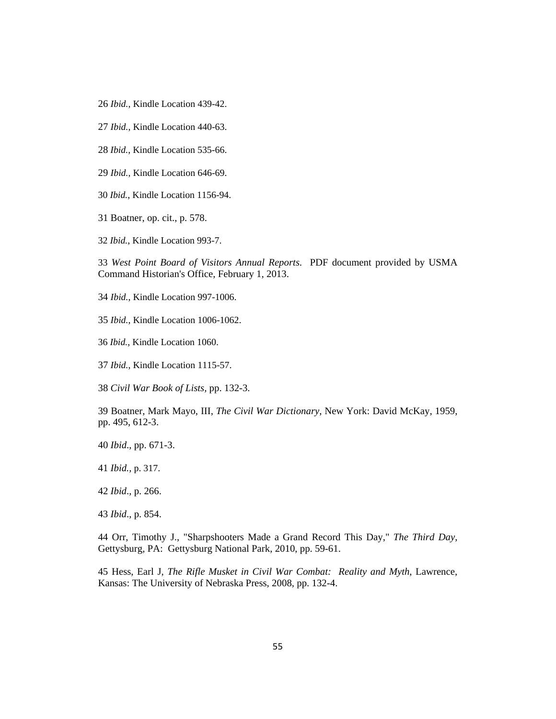- *Ibid.*, Kindle Location 439-42.
- *Ibid.*, Kindle Location 440-63.
- *Ibid.*, Kindle Location 535-66.
- *Ibid.*, Kindle Location 646-69.
- *Ibid.*, Kindle Location 1156-94.
- Boatner, op. cit., p. 578.
- *Ibid.*, Kindle Location 993-7.

 *West Point Board of Visitors Annual Reports*. PDF document provided by USMA Command Historian's Office, February 1, 2013.

*Ibid.*, Kindle Location 997-1006.

- *Ibid.*, Kindle Location 1006-1062.
- *Ibid.*, Kindle Location 1060.
- *Ibid.*, Kindle Location 1115-57.

*Civil War Book of Lists,* pp. 132-3.

 Boatner, Mark Mayo, III, *The Civil War Dictionary*, New York: David McKay, 1959, pp. 495, 612-3.

*Ibid*., pp. 671-3.

*Ibid.,* p. 317.

*Ibid*., p. 266.

*Ibid*., p. 854.

 Orr, Timothy J., "Sharpshooters Made a Grand Record This Day," *The Third Day*, Gettysburg, PA: Gettysburg National Park, 2010, pp. 59-61.

 Hess, Earl J, *The Rifle Musket in Civil War Combat: Reality and Myth*, Lawrence, Kansas: The University of Nebraska Press, 2008, pp. 132-4.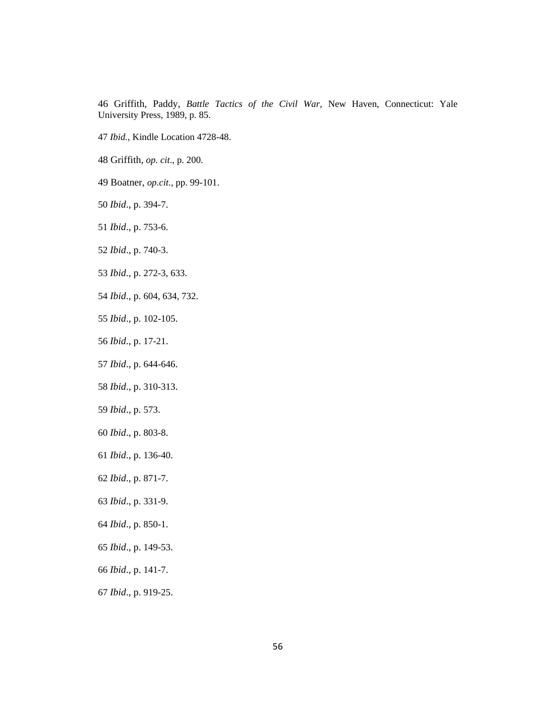Griffith, Paddy, *Battle Tactics of the Civil War,* New Haven, Connecticut: Yale University Press, 1989, p. 85.

- *Ibid.*, Kindle Location 4728-48.
- Griffith, *op. cit*., p. 200.
- Boatner, *op.cit.*, pp. 99-101.
- *Ibid*., p. 394-7.
- *Ibid*., p. 753-6.
- *Ibid*., p. 740-3.
- *Ibid*., p. 272-3, 633.
- *Ibid*., p. 604, 634, 732.
- *Ibid*., p. 102-105.
- *Ibid*., p. 17-21.
- *Ibid*., p. 644-646.
- *Ibid*., p. 310-313.
- *Ibid*., p. 573.
- *Ibid*., p. 803-8.
- *Ibid*., p. 136-40.
- *Ibid*., p. 871-7.
- *Ibid*., p. 331-9.
- *Ibid*., p. 850-1.
- *Ibid*., p. 149-53.
- *Ibid*., p. 141-7.
- *Ibid*., p. 919-25.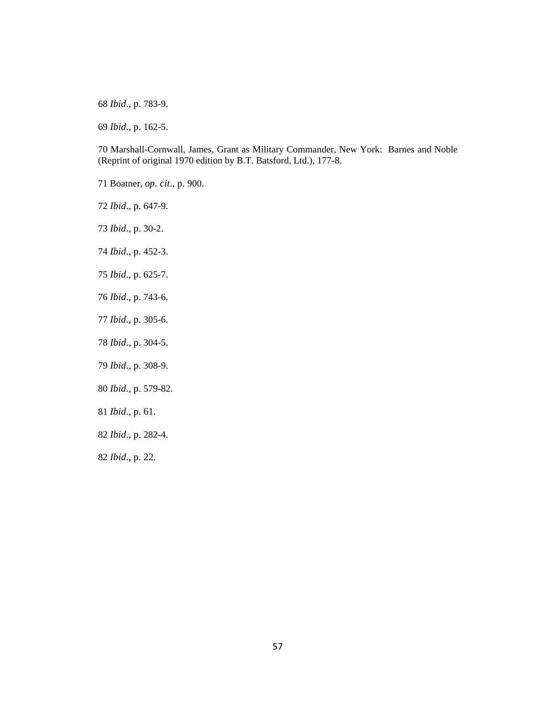*Ibid*., p. 783-9.

*Ibid*., p. 162-5.

70 Marshall-Cornwall, James, Grant as Military Commander, New York: Barnes and Noble (Reprint of original 1970 edition by B.T. Batsford, Ltd.), 177-8.

- 71 Boatner, *op. cit*., p. 900.
- *Ibid*., p. 647-9.
- *Ibid*., p. 30-2.
- *Ibid*., p. 452-3.
- *Ibid*., p. 625-7.
- *Ibid*., p. 743-6.
- *Ibid*., p. 305-6.
- *Ibid*., p. 304-5.
- *Ibid*., p. 308-9.
- *Ibid*., p. 579-82.
- *Ibid*., p. 61.
- *Ibid*., p. 282-4.
- *Ibid*., p. 22.